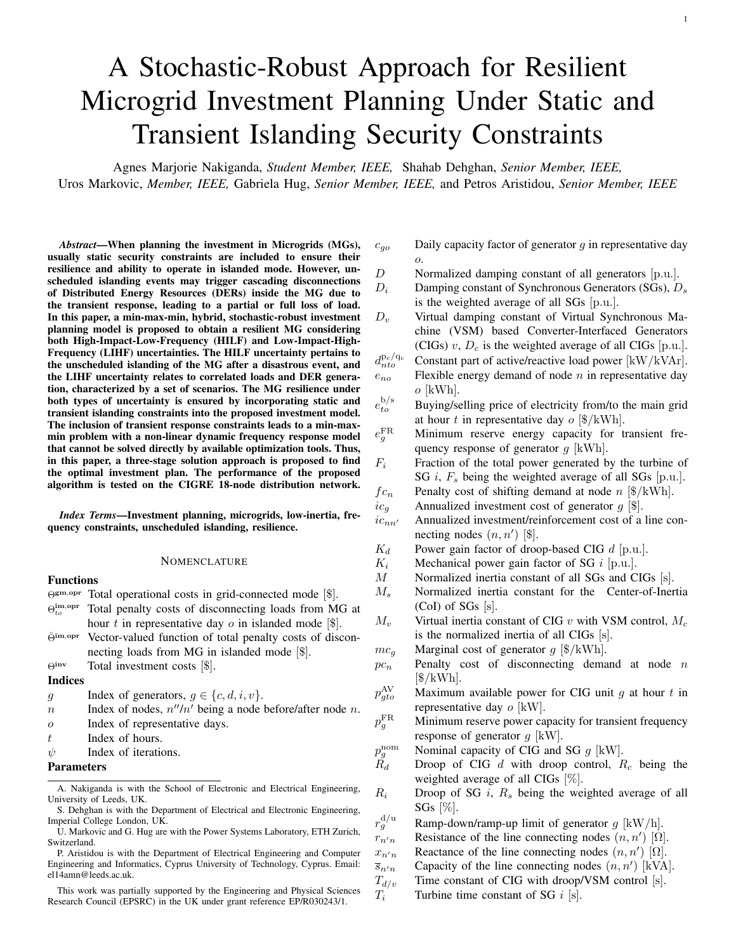# A Stochastic-Robust Approach for Resilient Microgrid Investment Planning Under Static and Transient Islanding Security Constraints

Agnes Marjorie Nakiganda, *Student Member, IEEE,* Shahab Dehghan, *Senior Member, IEEE,* Uros Markovic, *Member, IEEE,* Gabriela Hug, *Senior Member, IEEE,* and Petros Aristidou, *Senior Member, IEEE*

*Abstract*—When planning the investment in Microgrids (MGs), usually static security constraints are included to ensure their resilience and ability to operate in islanded mode. However, unscheduled islanding events may trigger cascading disconnections of Distributed Energy Resources (DERs) inside the MG due to the transient response, leading to a partial or full loss of load. In this paper, a min-max-min, hybrid, stochastic-robust investment planning model is proposed to obtain a resilient MG considering both High-Impact-Low-Frequency (HILF) and Low-Impact-High-Frequency (LIHF) uncertainties. The HILF uncertainty pertains to the unscheduled islanding of the MG after a disastrous event, and the LIHF uncertainty relates to correlated loads and DER generation, characterized by a set of scenarios. The MG resilience under both types of uncertainty is ensured by incorporating static and transient islanding constraints into the proposed investment model. The inclusion of transient response constraints leads to a min-maxmin problem with a non-linear dynamic frequency response model that cannot be solved directly by available optimization tools. Thus, in this paper, a three-stage solution approach is proposed to find the optimal investment plan. The performance of the proposed algorithm is tested on the CIGRE 18-node distribution network.

*Index Terms*—Investment planning, microgrids, low-inertia, frequency constraints, unscheduled islanding, resilience.

# NOMENCLATURE

# Functions

Θgm,opr Total operational costs in grid-connected mode [\$].

- $\Theta_{to}^{\rm im, opr}$ Total penalty costs of disconnecting loads from MG at hour t in representative day  $\sigma$  in islanded mode [\$].
- $\check{\Theta}^{im, \text{opt}}$  Vector-valued function of total penalty costs of disconnecting loads from MG in islanded mode [\$].
- Θinv Total investment costs [\$].

#### Indices

- g Index of generators,  $g \in \{c, d, i, v\}$ .<br>
Index of nodes,  $n''/n'$  being a node l
- $n$  Index of nodes,  $n''/n'$  being a node before/after node n.
- o Index of representative days.
- $t$  Index of hours.
- $\psi$  Index of iterations.

# Parameters

This work was partially supported by the Engineering and Physical Sciences Research Council (EPSRC) in the UK under grant reference EP/R030243/1.

 $c_{g0}$  Daily capacity factor of generator g in representative day o.

1

- D Normalized damping constant of all generators [p.u.].
- $D_i$  Damping constant of Synchronous Generators (SGs),  $D_s$ is the weighted average of all SGs [p.u.].
- $D_v$  Virtual damping constant of Virtual Synchronous Machine (VSM) based Converter-Interfaced Generators (CIGs)  $v$ ,  $D_c$  is the weighted average of all CIGs [p.u.].
- $d_{nto}^{\rm p_c/q_c}$ Constant part of active/reactive load power  $[kW/kVAr]$ .  $e_{no}$  Flexible energy demand of node  $n$  in representative day  $o$  [kWh].

 $e_{to}^{\rm b/s}$ Buying/selling price of electricity from/to the main grid at hour t in representative day  $o$  [\$/kWh].

- $e^{\rm FR}_a$ Minimum reserve energy capacity for transient frequency response of generator  $g$  [kWh].
- $F_i$  Fraction of the total power generated by the turbine of SG *i*,  $F_s$  being the weighted average of all SGs [p.u.].  $fc_n$  Penalty cost of shifting demand at node n [\$/kWh].
- $ic_q$  Annualized investment cost of generator  $g$  [\$].
- $ic_{nn'}$  Annualized investment/reinforcement cost of a line connecting nodes  $(n, n')$  [\$].
- $K_d$  Power gain factor of droop-based CIG d [p.u.].
- $K_i$  Mechanical power gain factor of SG i [p.u.].
- M Normalized inertia constant of all SGs and CIGs [s].
- $M<sub>s</sub>$  Normalized inertia constant for the Center-of-Inertia (CoI) of SGs [s].
- $M_v$  Virtual inertia constant of CIG v with VSM control,  $M_c$ is the normalized inertia of all CIGs [s].
- $mc<sub>g</sub>$  Marginal cost of generator g [\$/kWh].
- $pc_n$  Penalty cost of disconnecting demand at node n  $[\frac{\gamma}{kWh}]$ .
- $p_{ato}^{\rm AV}$ Maximum available power for CIG unit  $g$  at hour  $t$  in representative day  $o$  [kW].
- $p_a^{\mathrm{FR}}$ Minimum reserve power capacity for transient frequency response of generator  $q$  [kW].
- $p_a^{\rm nom}$  $p_g^{\text{nom}}$  Nominal capacity of CIG and SG g [kW].<br>  $R_d$  Droop of CIG d with droop control, R
- Droop of CIG d with droop control,  $R_c$  being the weighted average of all CIGs [%].
- $R_i$  Droop of SG i,  $R_s$  being the weighted average of all SGs  $[\%]$ .

 $r^{\rm d/u}_{g}$ Ramp-down/ramp-up limit of generator  $q$  [kW/h].

- $r_{n'n}$  Resistance of the line connecting nodes  $(n, n')$  [ $\Omega$ ].
- $x_{n'n}$  Reactance of the line connecting nodes  $(n, n')$  [ $\Omega$ ].
- $\overline{s}_{n'n}$  Capacity of the line connecting nodes  $(n, n')$  [kVA].
- $T_{d/v}$  Time constant of CIG with droop/VSM control [s].
- $T_i$  Turbine time constant of SG i [s].

A. Nakiganda is with the School of Electronic and Electrical Engineering, University of Leeds, UK.

S. Dehghan is with the Department of Electrical and Electronic Engineering, Imperial College London, UK.

U. Markovic and G. Hug are with the Power Systems Laboratory, ETH Zurich, Switzerland.

P. Aristidou is with the Department of Electrical Engineering and Computer Engineering and Informatics, Cyprus University of Technology, Cyprus. Email: el14amn@leeds.ac.uk.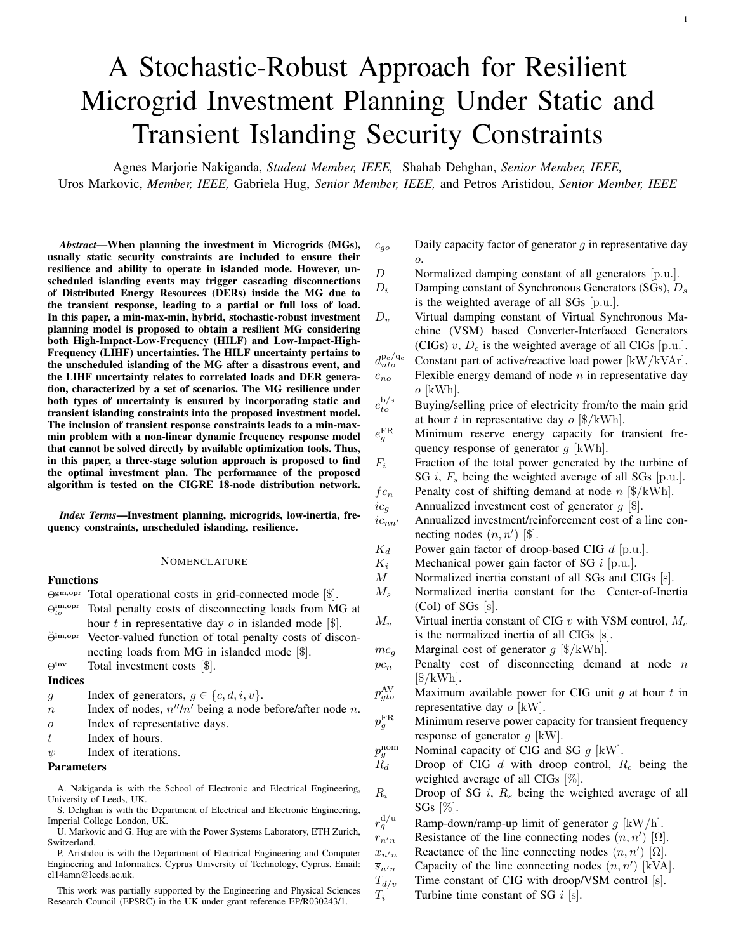- $z_n^0$  $_{nn'}^{0}$  Initial status of a line connecting nodes  $(n, n')$  (i.e., 1/0: built/not-built).
- $\alpha$  Scaling factor.
- $\zeta$  Damping ratio.
- $\omega_n$  Natural frequency [Hz].
- $\tau_o$  Weighting factor of representative day  $o$ .
- $\epsilon$  Corrective power deviation tolerance [kW].
- Sets
- $\Omega^{\text{C}}$ C Set of CIGs,  $\Omega^{C_n}$  being the set of generators connected to node n.

 $\Omega_d^{\text{C}}$ Set of CIGs with droop/VSM control scheme.

- $\Omega^{\text{gm, opr}}$  Feasible space of operational variables in gridconnected mode.
- $\Omega^{\text{im},\text{opr}}$ Feasible space of operational variables in islanded mode.
- $\Omega^{\rm inv}$ Feasible space of investment-related variables.
- $\Omega^{\text{L}}$ Set of lines connecting neighbouring nodes.
- $\Omega^{\text{MG}}$ Feasible space of the MG planning problem.
- $\Omega^{\rm N}$ N Set of nodes,  $\Omega^{N_n}$  being the set of nodes after and connected to node n.
- $\Omega^{\text{O}}$ Set of representative days.
- $\Omega^{\text{S}}$ S Set of SGs,  $\Omega^{S_n}$  being the set of generators connected to node n.
- $\Omega^{\rm T}$ Set of hours in a representative day.

# Symbols

- $\hat{\bullet}$  Deviations of the quantity  $\bullet$  in the islanded mode from its value in the grid-connected mode (i.e.,  $\hat{d}_{nto}^{\text{p}_f}$  and  $\hat{d}_{nto}^{\text{q}_f}$ ),
	- $\hat{\bullet}^{+}/\hat{\bullet}^{-}$  being upward/downward deviations (i.e.,  $\hat{d}_{nto}^{\text{PF}}$ ,  $\hat{d}_{nto}^{p_f^-}$ ,  $\hat{d}_{nto}^{q_f^+}$ , and  $\hat{d}_{nto}^{q_f^-}$ ).
- 
- $|\bullet|$  Cardinality of the set  $\bullet$ .<br> $\bullet/\bullet$  Lower/upper bounds of Lower/upper bounds of the quantity  $\bullet$ .

# Variables

- $d_{nto}^{\rm p/q}$ Active/reactive load power at node  $n$ , hour  $t$ , and representative day  $o$  [kW/kVAr].
- $d_{nto}^{\rm p_f/q_f}$ Flexible part of active/reactive load power at node  $n$ , hour t, and representative day  $o$  [kW/kVAr].
- $p/q_{gto}$  Active/reactive power generation of generator g at hour t and representative day  $o$  [kW/kVAr].
- $p/q_{to}^{\rm b/s}$ Active/reactive power flow bought/sold to the main grid at hour t and representative day  $o$  [kW/kVAr].
- $p_{nn'to}$  Active power flow of a line connecting nodes  $(n, n')$  at hour  $t$  and representative day  $o$  [kW].
- $q_{nn'to}$  Reactive power flow of a line connecting nodes  $(n, n')$ at hour t and representative day  $o$  [kVAr].
- $v_{nto}$  Voltage magnitude at node *n*, hour *t*, and representative day  $o[V]$ .
- $y_{nto}$  Binary variable indicating the connection status of load at node *n*, hour *t*, and representative day  $o$  (i.e.,  $1/0$ : connected/disconnected).
- $z_g$  Binary variable indicating the investment status of generator  $g$  (i.e.,  $1/0$ : built/not-built).
- $z_{nn'}$  Binary variable indicating the investment/reinforcement status of a line connecting nodes  $(n, n')$  (i.e., 1/0: built/not-built).

# Vectors

- $\chi$  Vector of all investment and operational variables.
- χ gm,opr Vector of "wait-and-see" operational variables in gridconnected mode.
- $\chi^{\text{im},\text{opt}}$  Vector of "wait-and-see" operational variables in is-

landed mode.

 $\chi^{\rm inv}$ 

Vector of "here-and-now" investment variables.

 $\eta$  Vector of representative days (i.e., scenarios).

# I. INTRODUCTION

RESILIENT electric networks must have the ability to ride<br>through extreme contingencies, maintain basic service lev-**DESILIENT** electric networks must have the ability to ride els to critical load demands, and ensure fast recovery to normality. In other words, a resilient system should be able to modify its functionality and alter its structure in an agile manner without collapsing [1]. The main measures to enhance the resilience of electric networks can be categorized into [2]: (i) *"hardening"*, which incorporates all activities aimed at reinforcing electric networks and enhancing component designs and constructions with the intention of preserving functionality and minimizing damage; (ii) *"survivability"*, which includes innovative technologies to diversify energy supply and improve system flexibility; and (iii) *"recovery"*, which incorporates all tools aimed at restoring the system to normal operating conditions. Of particular concern is the resilience of electricity distribution networks due to their interdependence with other critical infrastructure, which might culminate in a sustained negative impact on society. With this background, Microgrids (MGs) have been widely considered as a potential pathway for enhancing system resilience and ensuring both structural reinforcement and operational flexibility by allowing for the coexistence of Distributed Energy Resources (DERs) with the traditional bulk grid [3], [4].

MG, as defined in [5], refers to "*a group of interconnected loads and distributed energy resources with clearly defined electrical boundaries that acts as a single controllable entity with respect to the grid and can connect and disconnect from the grid to enable it to operate in both grid-connected or island modes*". Their islanding capability is critical in enhancing resilience by ensuring continuity and mitigating interruptions of energy supply to consumers in the event of extreme weather conditions or significant faults in the bulk transmission grid [6], [7]. The successful island creation, especially following disastrous events, is subject to the secure transient performance of DERs, thus ensuring the survivability of the MG. However, unlike traditional bulk grids, MGs are inherently faced with a lack of rotational inertia and damping capability affecting their security in the event of significant power imbalance, and more importantly, islanding from the main grid [8], [9]. A MG is considered secure if all equipment (e.g., lines and generators) operate within their technical limits and tolerances avoiding subsequent network disconnections and associated risk of cascading failures [10]. Thus, it is vital to design a resilient and reliable MG able to withstand both High-Impact-Low-Frequency (HILF) and Low-Impact-High-Frequency (LIHF) uncertainties, under static and transient operational constraints. On the one hand, static islanding constraints ensure the MG's operational adequacy in supplying the forecasted electricity demand. On the other hand, transient islanding constraints ensure the MG's operational security by adhering to a dynamic response within the defined regulatory limits and, consequently, avoiding the operation of protective devices that would result in DER disconnections.

Different planning tools including: stochastic [11], robust [12]–[15], and distributionally robust [16] approaches have been previously presented in the literature for optimal investment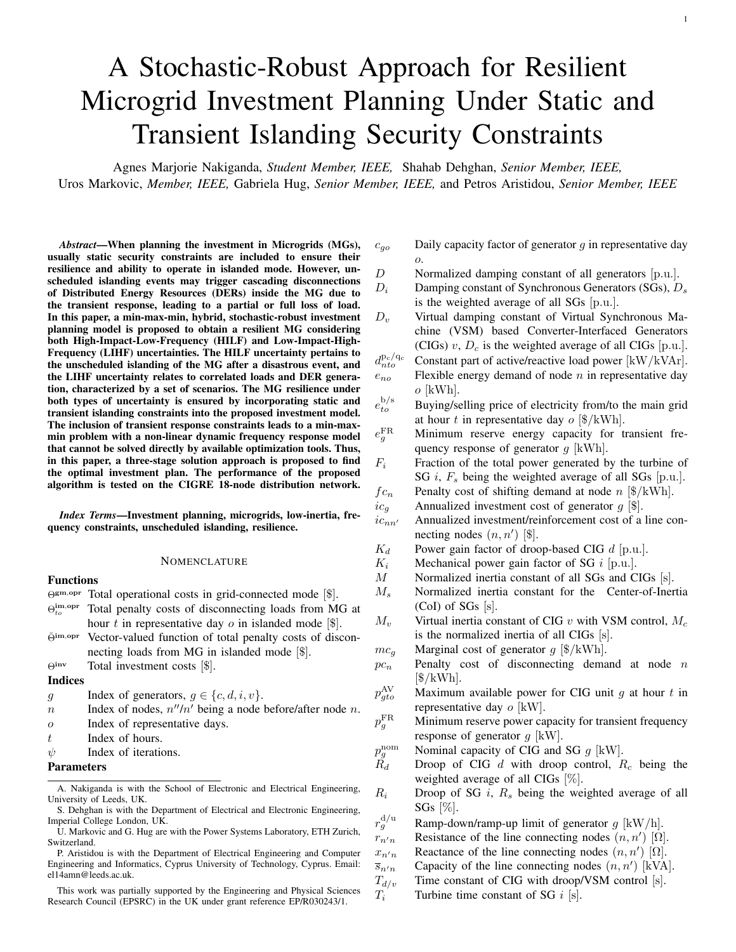in distribution networks and MGs aiming at enhancing system resilience to extreme contingencies. In [11], a stochastic model has been proposed for optimal investment in distribution networks under different disastrous events characterized by a set of scenarios. In [12], a robust resilience-constrained MG planning model is introduced under the uncertainty of loads and power generation of Renewable Energy Sources (RESs), with islanding from the main grid considered as another source of uncertainty. In [13], a robust defender-attacker-defender model is presented for optimal hardening planning in resilient distribution networks, considering topology reconfiguration and islanding formation. Besides, in [15], a robust model is proposed for hardening and investment planning in distribution networks based on a multistage and multi-zone uncertainty modeling of spatial and temporal characteristics of natural disasters. Additionally, a distributionally robust resilience-constrained investment planning model under natural disasters is introduced in [16], where a momentbased ambiguity set characterizes extreme events. Even though the literature offers several operational planning models for traditional bulk grids under dynamic security constraints [17]– [23], to the best of the authors' knowledge, previous resilienceconstrained investment planning models for MGs [12], [24], and even active distribution networks [11]–[13], [15], have only considered static operational constraints rather than dynamic.

In [25], static frequency security for primary, secondary and tertiary control levels in MGs has been studied, however, transient frequency security was not considered. The problem of ensuring transient security in power systems has been studied in [17], where a transient stability-constrained Optimal Power Flow (OPF) is employed with a single-machine infinite-bus model characterizing the transient stability constraints in order to facilitate secure frequency response. Similarly, a discretized transient response is embedded in the OPF problem in [18] to ensure a secure transient frequency response. In [19], an analytical formulation is presented to limit the Rate-of-Changeof-Frequency (RoCoF) based on a single-machine CoI frequency model, while [20] uses a simplified model of transient frequency metrics to analyze the post-fault response. Such simplified frequency response models tend to describe system dynamics inaccurately and cannot quantify the support provided by different units. A reduced second-order model is used in [21] to determine sufficient synthetic inertia and droop slopes for a collection of traditional and inverter-interfaced generators that satisfy both steady-state and dynamic frequency requirements. Moreover, in [22] and [23], the unit commitment problem is solved under frequency-related constraints for traditional and low-inertia grids, where frequency-related constraints are derived based on a loworder non-linear frequency response model [26].

Nevertheless, all aforementioned studies have certain drawbacks, as they are based on either simplified dynamic models [19]–[21], linearized frequency-related constraints [22], or make *ex-ante* bound extractions on the relevant variables [23] to simplify the planning model. Furthermore, the simplifications therein represent the characteristic properties of transmission networks rather than active distribution networks and MGs. Accordingly, it is vital to present a resilience-oriented MG planning tool, including both static and transient constraints, based on a detailed dynamic model to ensure satisfactory operation given the abrupt main grid disconnection in the event of extreme contingencies.

The paper's main contributions can be summarized as follows:

- A min-max-min, stochastic-robust, investment planning model, is introduced to design a resilient MG under both HILF and LIHF uncertainties. The HILF uncertainty pertains to the unscheduled islanding of the MG from the main grid while the LIHF uncertainties relate to correlated load and RES generation. For the latter, the  $k$ -means clustering technique is used to obtain a sufficient number of scenarios (i.e., representative days) characterizing different realizations of LIHF uncertainties. The stochastic approach obtains an optimal solution over all LIHF scenarios while the robust approach immunizes each scenario (i.e., every hour of each representative day) against the power loss associated with the unscheduled islanding of the MG (i.e., HILF scenario) at an optimized cost.
- Both static and transient islanding constraints (i.e., the maximum RoCoF and the frequency nadir as transient-state criteria, and the frequency deviation as a quasi steady-state criterion) are considered in the proposed model to ensure resilience under HILF and LIHF uncertainties. To the best of the authors' knowledge, there is no similar planning tool in the literature that includes both static and transient islanding constraints.
- A tractable three-stage solution approach is presented since the proposed min-max-min, hybrid, stochastic-robust investment problem with a non-linear frequency response model cannot be solved directly.

The rest of the paper is organized as follows. In Section II, the investment planning model is described in a compact form together with the main modeling preliminaries. Section III presents the detailed problem formulation under static and transient islanding constraints, whereas Section IV discusses the application of the proposed investment planning model on the CIGRE 18-node distribution network in order to design a resilient MG under different operating conditions. Finally, Section V concludes the paper.

# II. MODELING PRELIMINARIES AND PROBLEM DESCRIPTION

In this paper, the uncertainty pertaining to the unscheduled islanding of the microgrid from the main grid is considered as HILF due to its severe impact on the microgrid brought about by the loss of a large power in/outfeed from/to the main grid and its low frequency of occurrence. In addition, uncertainties pertaining to load and renewable generation are considered as LIHF due to their low impacts on the amount of power exchange with the main grid and their high frequencies of occurrences. For instance, the load of the microgrid at each hour of a single day is a continuous uncertain parameter, and this uncertain parameter can be repeated  $24 \times 365 = 8760$  times per year. On the contrary, a microgrid may face only a few unscheduled islandings per year. Therefore, the former is a high-frequency uncertainty while the later is a low-frequency one.

Both types of uncertainties have been considered in the proposed stochastic-robust model to enhance the resilience of the microgrid. In general, a stochastic approach finds a solution that is optimal on average for a set of scenarios characterizing uncertain parameters, while a robust approach finds a solution that is optimal for the worst-case realization of uncertain parameters. In this paper, a stochastic approach is utilized to characterize the uncertainty of load and renewable generation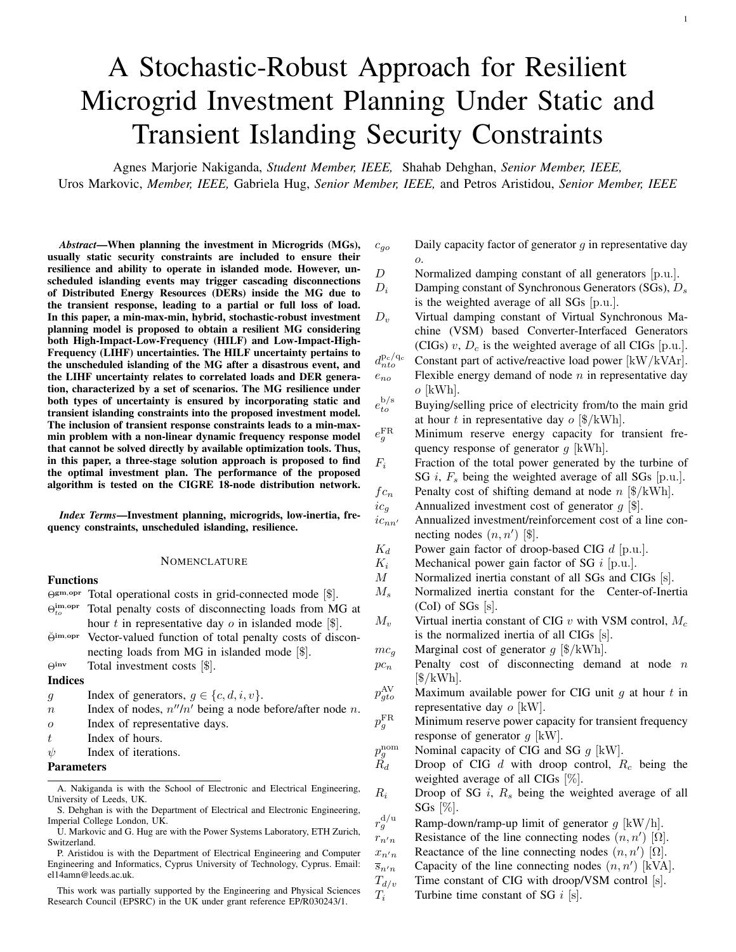by a set of scenarios, named as representative days. In addition, a robust approach is utilized to characterize the uncertainty of unscheduled islanding from the main grid. Note that the proposed approach considers the possibility of an islanding event for all hours of each representative day. Hence, it is robust against a disruptive event at all hours of each representative day.

The main modeling preliminaries in the proposed investment planning model are:

- Without loss of generality, a single-year planning horizon is considered rather than a multi-year one to reach a compromise between accuracy and tractability of the proposed model.
- To capture interday/intraday variation/ramping of uncertain loads and power generation of RESs, a sufficient number of representative days (i.e., *scenarios*) is considered, obtained by the k-means clustering technique [27].
- A single scheduling period of each representative day is considered to be *one hour* both in grid-connected and islanded modes.
- The MG is assumed to have a radial network topology, as such, a linearized version of the DistFlow model is used for the power flow formulation to obtain a linear optimization problem [28], [29]. Additionally, the quadratic line flow expressions are linearized using a piecewise linear approximation [30]. Finally, a constant marginal cost is utilized to eliminate the non-linearity of quadratic cost functions [27].
- It is assumed that an unscheduled islanding event might happen at *each* period of the representative days considered.
- After an islanding, a single period of islanded operation is assumed and the probability of further contingencies in the islanded mode is not considered.

# *A. Compact Formulation under Static Constraints*

The proposed min-max-min investment planning model under static operational constraints in grid-connected and islanded mode can be presented in compact form as:

$$
\begin{aligned}\n\min_{\chi \in \Omega^{\text{MG}}} \Theta^{\text{inv}}(\chi^{\text{inv}}) + \Theta^{\text{gm,opr}}(\chi^{\text{inv}}, \chi^{\text{gm,opr}}) \\
+ ||\breve{\Theta}^{\text{im,opr}}(\chi^{\text{inv}}, \chi^{\text{gm,opr}}, \chi^{\text{im,opr}})||_{\infty},\n\end{aligned} (1)
$$

where  $\Omega^{\text{MG}} = {\chi \times \left[ \chi^{\text{inv}}, \chi^{\text{gm,opr}}, \chi^{\text{im,opr}} \right]} \times \infty$  $\Omega^{\text{inv}}$ ;  $\chi_{\text{im},\text{opr}}^{\text{gm,opr}} \in \Omega^{\text{im},\text{opr}} \in \Omega^{\text{im},\text{opr}}$ ,  $\Theta^{\text{im},\text{opr}} =$  $[\min \Theta_{11}^{\text{im}, \text{opt}}, ..., \min \Theta_{\mathcal{TO}}^{\text{im}, \text{opt}}], \ \mathcal{T} = |\Omega^{\text{T}}|, \text{ and } \mathcal{O} = |\Omega^{\text{O}}|.$ Also,  $\|\check{\Theta}^{\text{im,opr}}\|_{\infty} = \max(\min_{\forall t, \forall o} \Theta_{to}^{\text{im, opr}})$ . Hence, the objective function (1) minimizes the total investment costs  $(\Theta^{\text{inv}})$ , the *"expected"* total operation costs in grid-connected mode for all hours of all representative days (Θgm,opr), and the *"worst-case"* total penalty costs of disconnecting loads from MG in islanded mode for all hours in all representative days  $(\Theta^{\text{im}, \text{opt}})$ .

The min-max-min objective function (1) can be rewritten as a single minimization problem by using the auxiliary variable  $\gamma$ :

$$
\min_{\chi \in \Omega^{\text{MG}}} \Theta^{\text{inv}}(\chi^{\text{inv}}) + \Theta^{\text{gm,opr}}(\chi^{\text{inv}}, \chi^{\text{gm, opr}}) + \gamma \tag{2a}
$$

s.t. 
$$
\gamma \geq \Theta_{to}^{\text{im,opt}}(\chi^{\text{inv}}, \chi^{\text{gm,opt}}, \chi^{\text{im,opt}}), \ \forall t \in \Omega^{\text{T}}, o \in \Omega^{\text{O}},
$$
  
(2b)

The optimization problem (2) is a Mixed-Integer Linear Programming (MILP) problem, and as such can be solved by available software packages to obtain optimal investment and operation decisions in grid-connected and islanded mode.

However, the operation decisions may violate transient islanding constraints. To remedy such limitation and ensure MG resilience before and after an islanding event, a non-linear model for evaluation of the transient frequency response of a MG after islanding can be incorporated. The resultant problem is a complicated Mixed-Integer Non Linear Programming (MINLP), non-convex problem that can be intractable in practical applications. A three-stage methodology that incorporates the transient frequency constraints through sequential linearization and iterative tightening of power bounds is thus employed. In the sequel, the MG frequency dynamics, the metrics to evaluate the transient frequency response of a MG in islanded mode, as well as the proposed three-stage solution approach are presented.

#### *B. Microgrid Frequency Dynamics*

The employed dynamic model in this work is based on the uniform representation of frequency transients in a low-inertia<sup>1</sup> system, as introduced in [23], [31], comprising both traditional SGs (indexed by  $i \in \Omega^{\text{S}}$ ) and CIGs (indexed by  $c \in \Omega^{\text{C}}$ ). While different generators can have slightly distinct transient frequency response, the dynamics described by the CoI swing equation with aggregate inertia  $M_s$  and damping  $D_s$  has been shown to capture accurately the system behaviour [31], [32].

In line with previous research works and industry applications, the low-order model proposed in [32] is used for modeling the governor droop and turbine dynamics. The impact of *gridsupporting* CIGs providing frequency support via droop ( $d \in$  $\Omega_d^{\mathcal{C}} \subseteq \Omega^{\mathcal{C}}$  and VSM  $(v \in \Omega_v^{\mathcal{C}} \subseteq \Omega^{\mathcal{C}})$  control is also included, as these are the two most common control approaches in the literature [33], [34]. Hence, the transfer function  $G(s)$ between the active power change  $\Delta P_e(s)$ , with positive values corresponding to a net load decrease, and the CoI frequency deviation  $\Delta f(s)$  can be derived as:

$$
G(s) = \frac{\Delta f(s)}{\Delta P_e(s)} = (sM_s + D_s) + \frac{X}{\sum_{i \in \Omega_s^S} \frac{K_i(1 + sF_iT_i)}{R_i(1 + sT_i)}} + \frac{X}{\sum_{i \in \Omega_s^S} \frac{K_d}{R_d(1 + sT_d)}} + \frac{X}{\sum_{i \in \Omega_s^S} \frac{sM_v + D_v}{1 + sT_v}} - 1
$$
\n
$$
+ \frac{d \in \Omega_d^S}{d \text{roop-based CGs}} + \frac{X}{\sum_{i \in \Omega_s^S} \frac{sM_v + D_v}{1 + sT_v}} - 1
$$
\n
$$
(3)
$$

It is noteworthy to mention that the droop-based CIGs consider only the damping capability of the converter (i.e.,  $D = 1/R_d$ ) while the VSM-based CIGs consider both the damping and the inertia capability of the converter (i.e.,  $D_v$  and  $M_v$ , respectively) [31].

Assuming that the time constants  $(T_i \approx T)$  of all SGs are several orders of magnitude higher than the ones of converters [35], one can approximate  $T \gg T_{d,v} \approx 0$ , which transforms (3) into:

$$
G(s) = \frac{1}{MT} \frac{1 + sT}{s^2 + 2\zeta\omega_n s + \omega_n^2},\tag{4}
$$

where  $\omega_n = \frac{Q_1 - R_S}{MT}$  and  $\zeta = \frac{M + T(D + F_S)}{2\sqrt{MT(D + B_S)}}$  $\frac{M+I(D+F_s)}{2\sqrt{MT(D+R_s)}}$ . The definitions of the parameters in (4) and the formulation of the frequency

<sup>&</sup>lt;sup>1</sup>The term "low-inertia" is primarily used to characterize the nature of the converter-dominated power system, not to apply that the damping of such system is unchanged.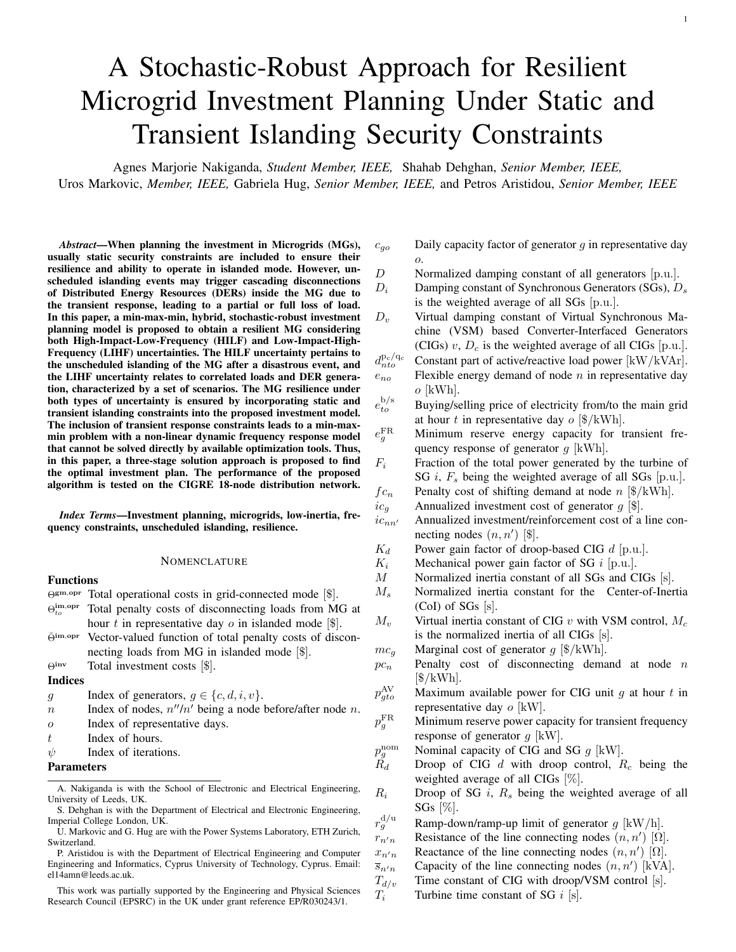

Fig. 1. Proposed three-stage MG planning algorithm.

model have been summarized in Appendix A. More details on the proposed second-order frequency model in (4) and mathematical formulation can be found in [31].

# *C. Dynamic Metrics for Microgrid Islanding*

Following a disturbance, the dynamic frequency response is characterized by the instantaneous RoCoF  $(f_{\text{max}})$  and frequency nadir ( $\Delta f_{\text{max}}$ ), whereas the steady-state response is governed by the constant frequency deviation from a pre-disturbance equilibrium ( $\Delta f_{\rm ss}$ ). By assuming a stepwise disturbance in the active power  $\Delta P_e(s) = -\Delta P/s$ , where  $\Delta P$  is the net power change, the time-domain expression for frequency metrics of interest can be derived as follows:

$$
\dot{f}_{\text{max}} = \dot{f}(t_0^+) = -\frac{\Delta P}{M},
$$
\n(5a)

$$
\Delta f_{\text{max}} = -\frac{\Delta P}{D + R_g} \quad 1 + \frac{\overline{T(R_g - F_g)}}{M} e^{-\zeta \omega_n t_m} \quad , \quad \text{(5b)}
$$

$$
\Delta f_{\rm ss} = -\frac{\Delta P}{D + R_g},\tag{5c}
$$

with the introduction of new variable  $\omega_d = \omega_n^{\mathcal{P}} \overline{1-\zeta^2}$  and  $t_m = (1/\omega_d) \tan^{-1} (\omega_d/(\omega_n \zeta - T^{-1}))$  denoting the time instance of frequency nadir.

It can be clearly seen that the aggregate system parameters such as  $M$ ,  $D$ ,  $R_q$  and  $F_q$  have a direct impact on frequency performance. In particular, RoCoF and steady-state deviation are explicitly affected by M and  $(D, R_q)$ , respectively, while frequency nadir has a non-linear dependency on all four system factors. With the increasing penetration of CIGs and subsequent decommissioning of conventional SGs, these parameters are drastically reduced and can compromise the overall frequency performance. To prevent the accidental activation of load-shedding, under/over frequency and RoCoF protection relays, the proposed three-stage solution algorithm, described in the following, imposes limits on the aforementioned frequency metrics to account for low levels of inertia and damping and their impact on the frequency response after a MG islanding.

## *D. Three-Stage Solution Algorithm*

The proposed three-stage approach proposed for solving the problem (2) with the inclusion of static and transient security constraints is illustrated in Fig. 1 and can be summarized as follows:

*1) Solving the Static Investment Planning Problem:* At each iteration  $\psi$ , the investment planning model (2) is solved under static security constraints in both grid-connected and islanded mode. In the case that transient frequency security is desired to ensure MG survivability during abrupt islanding, the process flow to Stages 2 and 3 can be adopted. Otherwise, the process flow terminates at Stage 1 where only grid-connected and static islanding requirements are met. A detailed formulation is provided in Section III-A.

*2) Evaluating Transient Frequency Security:* The unscheduled loss of power exchange with the main grid may result in large frequency transients within the MG. Following the discussion from Section II-C, the transient frequency response is characterized by the magnitude of the abrupt active power loss  $(\Delta P)$  and the aggregate control parameters of all MG generators  $(M, D, R<sub>q</sub>, and F<sub>q</sub>)$ . Therefore, the magnitude of the potential disturbance at each hour of every representative day during the planning horizon is set equal to the power exchange with the main grid scheduled at the time of the disconnection (i.e.,  $\Delta P = p_{top}^{b/s}$ ). At the same time, the control parameters depend on the built/not-built status of generators in the MG at each iteration ( $z_{q\psi}$ ). Consequently, at each iteration  $\psi$ , this stage of the algorithm uses the variables  $p_{t o \psi}^{\text{b/s}}$  and  $z_{g \psi}$  obtained from the first stage to evaluate the solution feasibility under transient security constraints in (5), described in detail in Section III-B.

The solution of the second stage provides the minimum amount of corrective deviation  $(\Delta p_{to\psi}^{\text{b/s}})$  from the scheduled power exchange with the main grid  $(p_{to\psi}^{\text{b/s}})$  to meet the transient security criteria. If this value is zero or less than a small tolerance  $(\epsilon)$ , the optimal investment and operational solution obtained from the first-stage problem ensures frequency security in islanded mode, and the algorithm is terminated. Otherwise, the algorithm proceeds to the third stage.

*3) Tightening Power Exchange with the Main Grid:* The third stage of the algorithm employs the non-zero solution obtained from the previous stage to tighten the limits imposed on the power exchange with the main grid at each hour of every representative day throughout the planning horizon. Once the bounds have been altered, the algorithm proceeds to the next iteration ( $\psi$ +1). The modified limits may lead either to a change in the power exchange with the main grid (through operational decisions), a change in the investment decisions, or both.

# III. EXTENDED FORMULATION UNDER STATIC AND TRANSIENT CONSTRAINTS

In this section, the extended formulation of the proposed planning tool under static and transient constraints is presented. The iteration index  $\psi$  is omitted for better legibility and brevity.

#### *A. Extended Formulation under Static Constraints*

The optimization problem in the first stage corresponds to the compact formulation (2), including investment limitations and static operational constraints in grid-connected and islanded mode. The extended terms in the objective function and the constraints are outlined in the following.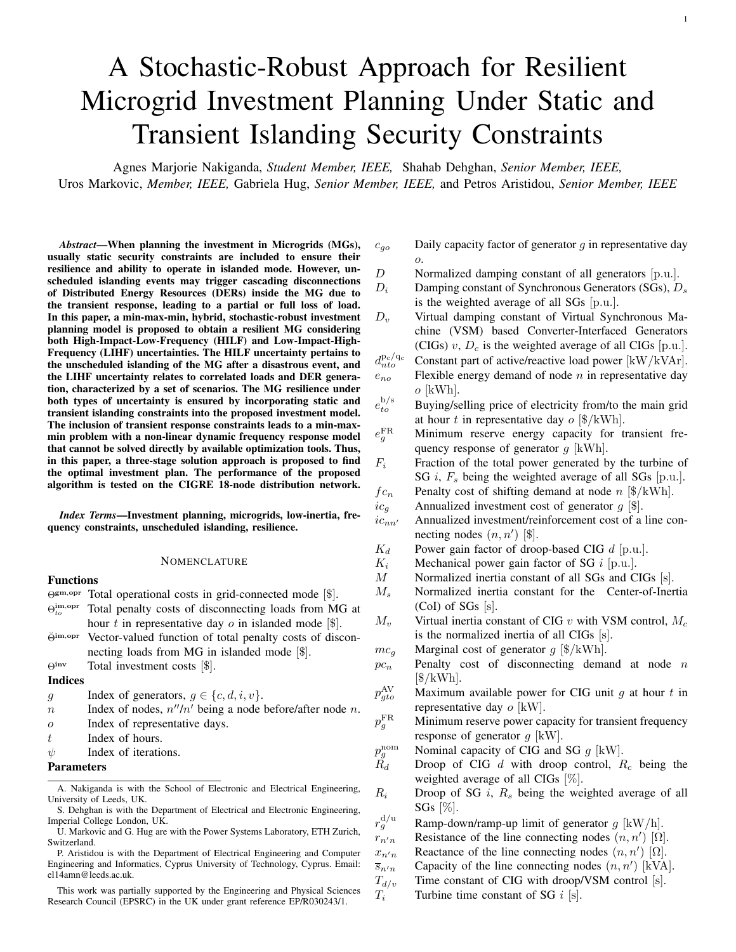*1) Investment:* The term  $\Theta^{\text{inv}}(\chi^{\text{inv}})$  in the objective function of the proposed planning problem is given by:

$$
\min_{\chi^{\text{inv}}} \Theta^{\text{inv}} = \frac{\chi}{\chi_{g\in \{\Omega^{\text{S}}, \Omega^{\text{C}}\}}} (ic_g \cdot z_g) + \frac{\chi}{(\eta, n') \in \Omega^{\text{L}}} (ic_{nn'} \cdot z_{nn'}), (6)
$$

and includes the total investment/reinforcement costs of generators/lines throughout the planning horizon. The optimization variables  $\chi^{\text{inv}} = \{z_g, z_{nn'}\}, \forall g \in \Omega^{\text{S}}, \Omega^{\text{C}} \land \forall (n, n') \in \Omega^{\text{L}}$ are *here-and-now* decisions (i.e. not a function of uncertain parameters, and thus, non-adjustable) [36].

*2) Grid-Connected Operation:* The function Θgm,opr capturing the operational cost in grid-connected mode is given by:

$$
\min_{\chi^{\text{gm,opt}}} \Theta^{\text{gm,opt}} = \frac{\lambda}{\chi^2} \frac{\lambda}{\chi^2} \frac{\tau_o \cdot e_{to}^b \cdot p_{to}^b - e_{to}^s \cdot p_{to}^s}{\chi} + \frac{(\tau_o \cdot mc_g \cdot p_{gto}) \cdot (\tau_a)}{\chi^2} \frac{(\tau_o \cdot mc_g \cdot p_{gto}) \cdot (\tau_a)}{\chi^2} \frac{(\tau_o \cdot mc_g \cdot p_{gto}) \cdot (\tau_a)}{\chi^2} \frac{(\tau_o \cdot mc_g \cdot p_{to}^b \cdot p_{to}^b)}{\chi^2} \frac{(\tau_o \cdot mc_g \cdot p_{to}^b \cdot p_{to}^b \cdot p_{to}^b \cdot p_{to}^b)}{\chi^2} \frac{(\tau_o \cdot mc_g \cdot p_{to}^b \cdot p_{to}^b \cdot p_{to}^b \cdot p_{to}^b \cdot p_{to}^b \cdot p_{to}^b \cdot p_{to}^b)}{\chi^2} \frac{(\tau_o \cdot mc_g \cdot p_{to}^b \cdot p_{to}^b \cdot p_{to}^b \cdot p_{to}^b \cdot p_{to}^b \cdot p_{to}^b \cdot p_{to}^b \cdot p_{to}^b \cdot p_{to}^b \cdot p_{to}^b \cdot p_{to}^b \cdot p_{to}^b \cdot p_{to}^b \cdot p_{to}^b \cdot p_{to}^b \cdot p_{to}^b \cdot p_{to}^b \cdot p_{to}^b \cdot p_{to}^b \cdot p_{to}^b \cdot p_{to}^b \cdot p_{to}^b \cdot p_{to}^b \cdot p_{to}^b \cdot p_{to}^b \cdot p_{to}^b \cdot p_{to}^b \cdot p_{to}^b \cdot p_{to}^b \cdot p_{to}^b \cdot p_{to}^b \cdot p_{to}^b \cdot p_{to}^b \cdot p_{to}^b \cdot p_{to}^b \cdot p_{to}^b \cdot p_{to}^b \cdot p_{to}^b \cdot p_{to}^b \cdot p_{to}^b \cdot p_{to}^b \cdot p_{to}^b \cdot p_{to}^b \cdot p_{to}^b \cdot p_{to}^b \cdot p_{to}^b \cdot p_{to}^b \cdot p_{to}^b \cdot p_{to}^b \cdot p_{to}^b \cdot p_{to}^b \cdot p_{to}^b \cdot p_{to}^b \cdot p_{to
$$

The constraints that need to be taken into account to reflect operational limitations in grid-connected mode are: Constraints on active and reactive power flows:

$$
p_{n''nto} + p_{to|n=1}^{b} - p_{to|n=1}^{s} + \n\times p_{gto}
$$
\n
$$
\times \n= p_{nn'to} + d_{nto}^{p}, \n\times \n\pi' \in \Omega^{N_n} \quad \forall n, t, o,
$$
\n
$$
q_{n''nto} + q_{to|n=1}^{b} - q_{to|n=1}^{s} + \n\times q_{gto}
$$
\n(7b)

$$
=\begin{matrix} \times & g \in \{\Omega^{\text{Sn}}, \Omega^{\text{Cn}}\} \\ q_{nn'to} + d_{nto}^{\text{q}}, & \forall n, t, o, \end{matrix} \tag{7c}
$$

$$
v_{n^{\prime\prime}to} - v_{nto} = (r_{n^{\prime\prime}n} \cdot p_{n^{\prime\prime}nto} + x_{n^{\prime\prime}n} \cdot q_{n^{\prime\prime}nto}), \forall n, t, o, (7d)
$$

Constraints on power exchange with the main grid:

$$
0 \le p_{to}^{\mathrm{b}} \le \overline{p}_{to}^{\mathrm{b}}, \ 0 \le p_{to}^{\mathrm{s}} \le \overline{p}_{to}^{\mathrm{s}}, \qquad \forall t, o, \ (7\mathrm{e})
$$

$$
0 \le q_{to}^{\mathrm{b}} \le \overline{q}_{to}^{\mathrm{b}}, \ 0 \le q_{to}^{\mathrm{s}} \le \overline{q}_{to}^{\mathrm{s}}, \qquad \forall t, o, \quad (7f)
$$

Constraints on constant and flexible load:

$$
d_{nto}^{\text{p}} = d_{nto}^{\text{p}_{\text{c}}} + d_{nto}^{\text{p}_{\text{f}}},
$$
  
\n
$$
d_{nto}^{\text{q}_{\text{c}}} = d_{nto}^{\text{q}_{\text{c}}} + d_{nto}^{\text{q}_{\text{f}}},
$$
  
\n
$$
\forall n, t, o, (7g)
$$
  
\n
$$
\forall n, t, o, (7h)
$$

$$
\underline{d}_{nto}^{\text{Pf}} \le d_{nto}^{\text{Pf}} \le \overline{d}_{nto}^{\text{Pf}}, \qquad \forall n, t, o, \quad (7i)
$$

$$
\underline{d}_{\mathrm{g}to}^{\mathrm{q}_{\mathrm{f}}} \leq d_{nto}^{\mathrm{q}_{\mathrm{f}}} \leq \overline{d}_{nto}^{\mathrm{q}_{\mathrm{f}}}, \qquad \forall n, t, o, \quad (7j)
$$

$$
d_{\text{yto}}^{\text{q}_{\text{uto}}} \leq d_{\text{nto}}^{\text{q}_{\text{uto}}}, \qquad \forall n, t, o, (7j)
$$
\n
$$
d_{\text{nto}}^{\text{p}} = e_{\text{no}}, \qquad \forall n, o, (7k)
$$

$$
\sum_{t \in \Omega^T}
$$

# Constraints on power generation of different units:

| $0 \leq p_{gto} \leq \overline{p}_{gto} \cdot z_g,$                                    | $\forall g \in {\{\Omega^{\text{S}}, \Omega^{\text{C}}\}}, t, o, (71)$        |
|----------------------------------------------------------------------------------------|-------------------------------------------------------------------------------|
| $\overline{p}_{gto}=p_g^{\rm nom}-p_g^{\rm FK},$                                       | $\forall g \in {\{\Omega^{\rm S}\}, t, o, \quad (7m)}$                        |
| $\overline{p}_{gto} = \min(p_g^{\text{nom}} - p_g^{\text{FK}}, p_{gto}^{\text{AV}}),$  | $\forall g \in \{\Omega^{\mathcal{C}}\}, t, o, (7n)$                          |
| $\underline{q}_{gto} \cdot z_g \leq q_{gto} \leq \overline{q}_{gto} \cdot z_g,$        | $\forall g \in {\{\Omega^{\text{C}}, \Omega^{\text{S}}\}}, t, o, (7\text{o})$ |
| $\sum_{\mathsf{X}} r_g^{\mathsf{a}} \leq p_{gto} - p_{g(t-1)o} \leq r_g^{\mathsf{a}},$ | $\forall g \in \Omega^{\mathrm{S}}, t, o, \quad (7p)$                         |
| $p_{gto} + e_g^{\text{FK}} \leq c_{go} \cdot \qquad \bar{p}_{gto},$                    | $\forall g \in \Omega^{\mathrm{S}}, o, \quad (7q)$                            |
| $t \in \Omega^{\mathcal{T}}$ $t \in \Omega^{\mathcal{T}}$                              |                                                                               |

Constraints on line thermal limits:

$$
p_{nn'to}^2 + q_{nn'to}^2 \le \overline{s}_{nn'}^2 \cdot z_{nn'}^0 + z_{nn'} ,
$$
  
 
$$
\forall (n, n') \in \Omega^L, o,
$$
 (7r)

# Constraints on nodal voltage magnitudes:

$$
\underline{v} \le v_{nto} \le \overline{v}, \ v_{to|n=1} = 1, \qquad \forall n, t, o, \quad (7s)
$$

Here, the vector of *wait-and-see* decision variables (i.e. a function of uncertain parameters, and thus, adjustable) [36] is given by  $\chi$ by  $\chi^{\text{gm, opr}} =$  $\{d_{nto}^{p/q}, d_{nto}^{p_f/q_f}, p_{gto}, p_{nn'to}, p_{to}^{b/s}, q_{gto}, q_{nn'to}, q_{to}^{b/s}, v_{nto}\}.$ 

The objective function (7a) minimizes the total operation costs, including the total costs of power exchange with the main grid, the total operation costs of generators, and the total penalty costs of shifting loads away from the periods preferred by consumers. Constraints (7b)-(7d) describe the power flows based on the linearized version of the DistFlow model [28], [29], and (7e)-(7f) ensure the non-negativity and impose the upper limits on the power exchange with the main grid. Note that  $p_{to}^{b/s}$  and  $q_{to}^{\mathrm{b/s}}$  in (7b) and (7c) are included only at the Point-of-Common Coupling (PCC) node denoted by  $n = 1$ . Furthermore, (7g)-(7j) reflect the power balance of constant and flexible loads as well as the limitations of flexible loads at each node and at every hour of each representative day, whereas (7k) ensures that the daily energy consumption of flexible loads is maintained for each representative day. Constraints (7l)-(7p) denote capacity, reserve and ramp-rate limits of generators at each hour of every representative day. Parameter  $p_g^{\text{FR}}$  in (7l) and (7n) relates to the minimum active power reserve capacity of each generator allocated to transient frequency control. This requirement can be predefined by the grid code [37] or calculated as  $p_g^{\text{FR}} =$  $M_g \dot{f}_{\text{lim}} + (D_g + R_g) \Delta f_{\text{lim}}$  with  $\dot{f}_{\text{lim}}$ , and  $\Delta f_{\text{lim}}$  denoting the maximum acceptable RoCoF, and frequency deviation prior to under-frequency load shedding, respectively. The energy adequacy for transient performance, defined by parameter  $e_g^{\text{FR}}$ , is calculated as  $e_j^{\text{FR}} = M_g \dot{f}_{\text{lim}} T^{\text{FC}^{\text{I}}} + (D_g + R_g) \Delta f_{\text{lim}} T^{\text{FC}^{\text{P}}}$ where  $T^{FC^{I}}$  and  $T^{FC^{P}}$  define the delivery periods for inertia and primary frequency response, respectively. It should be noted here that delivery periods  $T^{FC^{I}}$  and  $T^{FC^{P}}$  include all hours considered in the planning horizon of each representative day. Energy reserves  $(e_j^{\text{FR}})$  for transient frequency control in CIGs is commonly provided by three different approaches, i.e. can be provided by the converter-side DC-link capacitor energy storage [38], by a battery energy storage attached to the CIG [39], or by decreasing the CIG output from the maximum power point to allow for upward regulation. In this paper, we assume that the energy and power reserves for transient frequency control of CIG units are provided by the DC-side capacitor as detailed in [38]. Furthermore, (7l)-(7n) limit the SG and CIG output power to accommodate for the necessary power reserves  $(p_g^{\text{FR}})$ . For the synchronous units the maximum available power  $\bar{p}_{qto}$  is given by the unit's power capacity reduced in order to account for the frequency reserves required (7m). On the other hand, for CIG units the power output at any time period is dependent on the weather conditions and as such its maximum power point at each hour  $p_g^{AV}$  will further limit the available power that can be dispatched (7n). Moreover, the reactive power limits of

CIGs are based on the maximum generated active power, i.e.,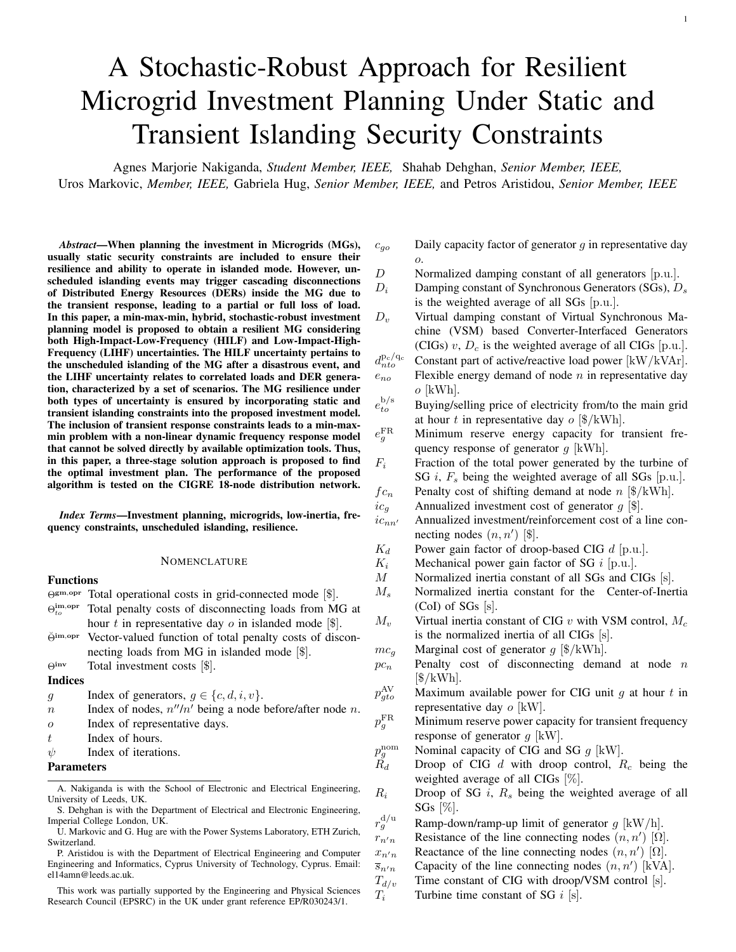$\overline{q}_{gto} = \tan \phi \cdot \overline{p}_{gto}$ , where  $\cos \phi$  is the maximum power factor of a unit defined by the grid code. Constraint (7q) defines the daily capacity factor of SGs in each representative day of the planning horizon [40], and (7r) imposes the thermal loading limits of each line. The latter quadratic constraint is linearized by means of a convex polygon, defined by inner approximations of the thermal loading circle [30]. Finally, (7s) limits the nodal voltage magnitudes throughout the planning horizon.

*3) Islanded Operation:* It is assumed that at every hour of each representative day, the MG should be able to withstand an unscheduled islanding event. The operation planning problem of a MG in islanded mode is aimed at ensuring survivability and self-sufficiency, where priority is given to critical loads. It is worthwhile to note that, in this paper, the self-sufficiency is ensured for one period (i.e., one hour) after disconnection from the main grid. However, the islanded operation period can be straightforwardly extended to multiple periods based on the required resilience. Hereafter, the superscript "im" denotes operational variables in islanded mode. The function  $\Theta_{to}^{\text{im,opr}}$ capturing the operational cost in islanded mode is given by:

$$
\min_{\substack{\text{im,opp}\\ \chi_{to}^{\text{in,opp}}} \Theta_{to}^{\text{im,opp}}} = \frac{\times}{n \epsilon \Omega^N} pc_n \quad (1 - y_{nto}) d_{nto}^{\text{P}_c} + \hat{d}_{nto}^{\text{P}_{t}^-} \tag{8a}
$$

The constraints that need to be taken into account to reflect operational limitations in islanded mode are:

# Constraints on the active and reactive power flows:

$$
p_{n''nto}^{\text{im}} + p_{g\in\{\Omega^{\text{Sn}},\Omega^{\text{CR}}\}}^{\text{im}} p_{m'n'to}^{\text{im}} +
$$
\n
$$
g\in\{\Omega^{\text{Sn}},\Omega^{\text{CR}}\} \qquad n'\in\Omega^{\text{Nn}}
$$
\n
$$
y_{nto} \cdot d_{nto}^{\text{Pe}} + d_{nto}^{\text{im},\text{pr}}
$$
\n
$$
q_{n''nto}^{\text{im}} + q_{gto}^{\text{im}} = \chi
$$
\n
$$
g_{nn'to}^{\text{im}} + g\in\{\Omega^{\text{Sn}},\Omega^{\text{CR}}\} \qquad n'\in\Omega^{\text{Nn}}
$$
\n
$$
y_{nto} \cdot d_{nto}^{\text{q}_{\text{c}}} + d_{nto}^{\text{im},\text{q}_{\text{c}}}, \qquad \forall n, t, o,
$$
\n
$$
v_{n''to}^{\text{im}} - v_{nto}^{\text{im}} = r_{n''n} \cdot p_{n''nto}^{\text{im}} + x_{n''n} \cdot q_{n''nto}^{\text{im}}, \qquad (8d)
$$
\n
$$
\forall n, t, o,
$$

### Constraints on the constant and flexible load:

$$
d_{nto}^{\text{im},\text{p}_{\text{f}}} = d_{nto}^{\text{p}_{\text{f}}} + \hat{d}_{nto}^{\text{p}_{\text{f}}^{+}} - \hat{d}_{nto}^{\text{p}_{\text{f}}^{-}}, \qquad \forall n, t, o, \qquad \text{(8e)}
$$
  

$$
d_{nto}^{\text{im},\text{q}_{\text{f}}} = d_{nto}^{\text{q}_{\text{f}}} + \hat{d}_{nto}^{\text{q}_{\text{f}}^{+}} - \hat{d}_{nto}^{\text{q}_{\text{f}}^{-}}, \qquad \forall n, t, o, \qquad \text{(8f)}
$$

$$
0 \leq \hat{d}_{nto}^{p_f^+}, \hat{d}_{nto}^{q_f^+}, \hat{d}_{nto}^{p_f^-}, \hat{d}_{nto}^{q_f^-}, \qquad \forall n, t, o, \qquad (8g)
$$

$$
\underline{d}_{nto}^{\text{Pr}} \le \overline{d}_{nto}^{\text{im},\text{Pr}} \le \overline{d}_{nto}^{\text{Pr}}, \qquad \qquad \forall n, t, o, \qquad \text{(8h)}
$$

$$
\underline{d}_{nto}^{\text{qf}} \le \underline{d}_{nto}^{\text{im},\text{qf}} \le \overline{d}_{nto}^{\text{qf}}, \qquad \forall n, t, o, \qquad \text{(8i)}
$$

$$
d_{nto}^{\text{im},p} \le e_{no} - \sum_{t'=1}^{\mathcal{K}^1} d_{nt'o}^p, \qquad \forall n, t, o, \quad (8j)
$$

# Constraints on power generation of different units:

$$
0 \le p_{gto}^{\text{im}} \le \overline{p}_{gto} \cdot z_g, \qquad \forall g \in \{\Omega^{\text{C}}, \Omega^{\text{S}}\}, t, o,
$$
 (8k)

$$
\underline{q}_{gto} \cdot z_g \le \dot{q}_{gto}^{\text{im}} \le \overline{q}_{gto} \cdot z_g, \qquad \forall g \in \{\Omega^{\text{C}}, \Omega^{\text{S}}\}, t, o,
$$
 (81)

$$
-r_g^d \le p_{gto}^{\text{im}} - p_{gto} \le r_g^u, \qquad \forall g \in \Omega^{\text{S}}, t, o, \quad \text{(8m)}
$$

$$
p_{gto}^{\text{im}} \le c_{go} \cdot \overbrace{r_{gto}^{\text{im}}}^{\overline{p}_{gto}} - p_{gto}, \qquad \forall g \in \Omega^{\text{S}}, t, o, \quad \text{(8n)}
$$

Constraints on line thermal limits:

$$
p_{nn'to}^{\text{im}^2} + q_{nn'to}^{\text{im}^2} \le s_{nn'to}^2 \cdot z_{nn'}^0 + z_{nn'} ,
$$
  
 
$$
\forall (n, n') \in \Omega^{\text{L}}, t, o,
$$
 (80)

#### Constraints on nodal voltage magnitudes:

$$
\underline{v} \le v_{nto}^{\text{im}} \le \overline{v}, \ v_{to|n=1}^{\text{im}} = 1, \qquad \forall n, t, o, \qquad \text{(8p)}
$$

where, similarly to the previous operation planning problem in grid-connected mode, all operation variables  $\chi_{to}^{\text{im,opr}}$  =  $\{\widehat{d}_{nto}^{\text{p}_f/q_f}, d_{nto}^{\text{im},\text{p}_f/\text{im},\text{q}_f}, \widehat{p}_{gto}, p_{gho}^{\text{im}}, p_{nn'to}^{\text{im}}, \widehat{q}_{gto}, q_{gto}^{\text{im}}, q_{nn'to}^{\text{im}}, v_{nto}^{\text{im}}\}$ are *wait-and-see* decisions.

The objective function (8a) minimizes the total unserved load and ensures an adequate supply of at least the critical MG loads. It should be noted that  $pc<sub>n</sub>$  describes the priority level of the load at a specific node, with higher values suggesting more critical loads, and the amount of unserved flexible load is denoted by  $\hat{d}_{nto}^{\text{p}_{\text{f}}}$ . Constraints (8b)-(8d) enforce the post-islanding power flow balance, whereas the deviations between the amount of flexible load served in grid-connected and islanded mode are given by (8e)-(8f) and used to determine the fraction of served and unserved flexible loads in islanded mode. Moreover, (8h)-(8i) enforce the limitations of flexible loads in islanded mode, and (8j) restricts the supply of flexible loads in terms of respective demand already served before the current time instance affected by a disconnection from the main grid. Constraints (8k)-(8l) denote capacity limits of generators, (8m)-(8n) indicate that rescheduling actions of SGs in islanded mode are subject to their ramp rate and daily capacity factor limitations as well as their scheduling actions before the current time step. Furthermore, similar to the formulation in grid-connected mode, (8o) defines the thermal loading limit of each line and (8p) limit the nodal voltage magnitudes. In the grid-connected mode the voltage at the PCC is maintained by the stiff grid, while in the islanded mode it is controlled by the DERs.

The final optimization problem is a MILP problem in the first stage of the algorithm, and its solution is subsequently used in the feasibility check in the second stage.

# *B. Formulation of the Transient Security Problem*

The feasibility of the planning solution under transient security constraints is necessary to guarantee the secure islanding of a MG. According to the metrics described in (5) and the discussions in Section II-D, the transient frequency response in the event of islanding depends on the amount of power exchange with the main grid at the time of the event (i.e.,  $\Delta P = p_{to\psi}^{\text{b/s}}$ ) and the control parameters of the online generators in the MG (i.e.,  $M(z_{g\psi}), D(z_{g\psi}), F_g(z_{g\psi})$  and  $R_g(z_{g\psi})$ . Note however that, with respect to decision variables,  $(5a)$  and  $(5c)$  are linear while (5b) is highly non-linear. Given the optimal values of decision variables obtained from the first stage  $(p_{to\psi}^{b/s}$  and  $z_{g\psi}$ ), the nonlinear term in (5b) can be defined as a constant at each iteration. Consequently, at each iteration  $\psi$ , the feasibility check can be formulated as a linear programming problem of the form

$$
\Theta_t^{\text{dyn}} = \min_{\Delta p_{to}^{\text{b-s}}} \quad \Delta p_{to\psi}^{\text{b/s}} \tag{9a}
$$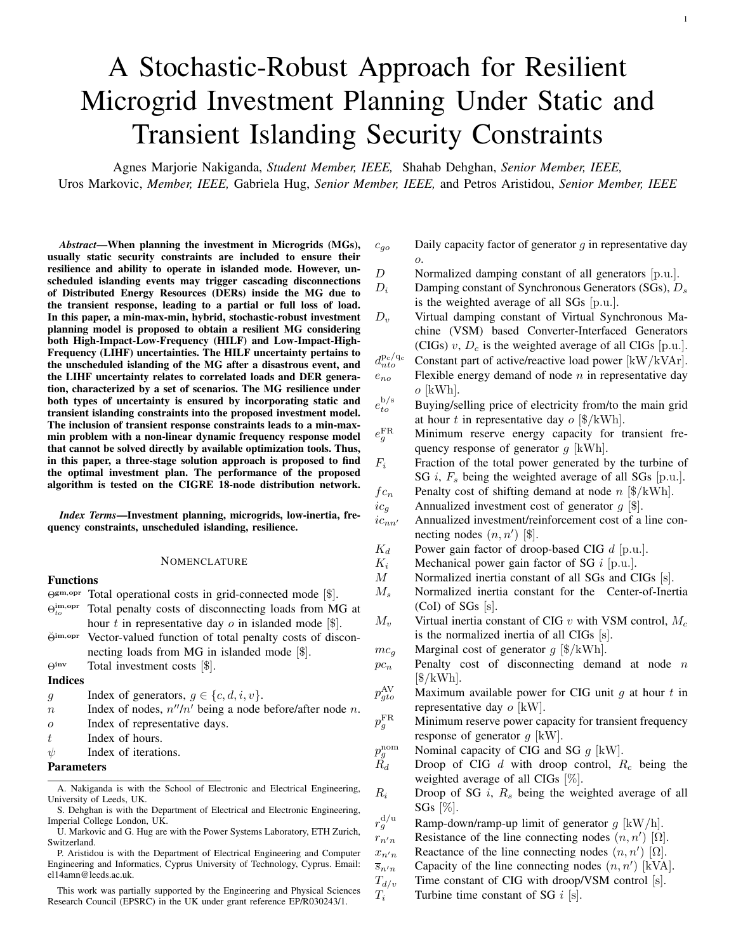

Fig. 2. Modified CIGRE European low voltage network.

The constraints that need to be taken into account to ensure transient security feasibility are:

$$
\frac{p_{t\sigma\psi}^{b/s} + \Delta p_{t\sigma\psi}^{b/s}}{M} \leq \dot{f}_{\text{lim}},
$$
\n
$$
p_{t\sigma}^{b/s} \cdot p_{t\sigma}^{b/s} \quad \Gamma \longrightarrow
$$
\n(9b)

$$
\frac{p_{t\alpha\psi}^{b/s} + \Delta p_{t\alpha\psi}^{b/s}}{D + R_g} \cdot 1 + \frac{\overline{T(R_g - F_g)}}{M} e^{-\zeta\omega_n t_m} \leq \Delta f_{\text{lim}},
$$
\n(9c)

$$
\frac{p_{t\alpha\psi}^{b/s} + \Delta p_{t\alpha\psi}^{b/s}}{D + R_g} \le \Delta f_{\text{ss,lim}}.\tag{9d}
$$

The feasibility checking problem (9) is solved independently for each hour t of every representative day  $\alpha$ . Constraints (9b)-(9d) enforce permissible frequency response limits pertaining to RoCoF, frequency nadir, and quasi-steady-state frequency deviation [37], respectively, whereas slack variables  $\Delta p_{total}^{\rm b/s}$  $to\psi$ are used to identify the violations of transient security limits at a specific hour and iteration. Accordingly, (9a) provides the minimum change needed in the scheduled power exchange with the main grid from the first stage to ensure frequency security. After solving (9) for each considered time step at each iteration  $\psi$ , the value of  $\Delta p_{to\psi}^{b/s}$  is used to modify and tighten the power exchange limits with the main grid at the next iteration  $(\psi + 1)$ :

$$
\overline{p}_{to(\psi+1)}^{\mathrm{b}} = p_{to\psi}^{\mathrm{b}} - \alpha \Delta p_{to\psi}^{\mathrm{b}}, \qquad \forall t, o,
$$
 (10a)

$$
\overline{p}_{to(\psi+1)}^s = p_{to\psi}^s - \alpha \Delta p_{to\psi}^s, \qquad \forall t, o. \qquad (10b)
$$

The scaling factor  $\alpha$  is used to apply a less conservative bound modification to account for intertemporal power shifting and investment candidates with frequency support. Furthermore,  $\alpha$  prevents the emergence of oscillatory non-convergence that might occur due to the multi-stage nature of the solution algorithm. In this work, a value of  $\alpha \in [0.5, 0.7]$  was adopted, calculated through a heuristic approach. Alternatively, a linesearch approach could be implemented in the algorithm, allowing to select the maximum  $\alpha$  that satisfies the requirements while minimizing the computational time.

The proposed algorithm (see Fig. 1) can be summarized as:

- Stage 1: Investment and operational planning with static security,  $(6)-(8)$ ;
- Stage 2: Transient security evaluation at all hours, (9);
- Stage 3: Grid power bounds tightening, (10).

### IV. CASE STUDY

# *A. System Description*

A modified CIGRE residential low-voltage network [41], illustrated in Fig. 2, is used to analyze the performance of the proposed planning tool. It is assumed that one SG is already preset at PCC  $(SG_1)$  and the investment candidates comprise one SG ( $SG<sub>2</sub>$ ) and three PV CIGs (i.e.,  $PV<sub>1</sub>$  and  $PV<sub>2</sub>$  interfaced

TABLE I GENERATOR CONTROL PARAMETERS AND INVESTMENT COSTS

|                                 | SG <sub>1</sub> | SG <sub>2</sub> | PV <sub>1</sub> | PV <sub>2</sub> | PV <sub>3</sub>          |
|---------------------------------|-----------------|-----------------|-----------------|-----------------|--------------------------|
| Annualized investment cost (\$) |                 | 40 000          | 70 000          | 65 000          | 60000                    |
| Capacity (kW)                   | 280             | 350             | 350             | 350             | 350                      |
| Node                            |                 | 15              | 17              | 11              | 18                       |
| M(s)                            | 14              | 14              | 14              |                 | $\overline{\phantom{a}}$ |
| D(p.u.)                         | 25              | 25              | 30              |                 | ٠                        |
| $K$ (p.u.)                      |                 |                 |                 |                 | ۰                        |
| R(p.u.)                         | 0.03            | 0:03            |                 | 0:05            |                          |
| $F$ (p.u.)                      | 0:35            | 0:35            | ۰               |                 |                          |

Existing generator Candidate generators

TABLE II SYSTEM OPERATION COSTS

| Import<br>(S/kWh) | Export<br>(S/kWh) | SG<br>(\$/kWh) | PV<br>(S/kWh) | Demand<br>shift<br>penalty<br>(S/kWh) |       | Demand<br>disconnection<br>penalty<br>(S/kWh) |
|-------------------|-------------------|----------------|---------------|---------------------------------------|-------|-----------------------------------------------|
| 30                | 15                | 60             |               | 100                                   | (150) | $200)*$                                       |

\*Based on the level of demand criticality, only in islanded mode

via *grid-supporting* converters, and PV<sub>3</sub> operating in *gridfeeding* mode with fixed power output). The fundamental control parameters obtained from [23] and investment costs (derived from [12], [42]) of all generators are provided in Table I, while system operation costs are given in Table II. Note that the fixed operational costs are included as a markup in the annualised investment costs while the variable operational costs are as defined in Table II. The load parameters are defined in Table III where  $50\%$  of nominal load connected at node 1 is shiftable, whereas high priority critical loads are connected at nodes 15 and 16. The patterns of loads and PV generation in Texas during 2016 [43] are used to obtain representative days through  $k$ means clustering. Note that all representative days for loads and PV generations are provided in Appendix B. The transient security constraints are enforced through thresholds imposed on RoCoF  $(\dot{f}_{\text{lim}} = 2 \text{ Hz/s})$ , frequency nadir  $(\Delta f_{\text{lim}} = 0.8 \text{ Hz})$ , and quasi-steady-state frequency deviation ( $\Delta f_{\rm ss,lim} = 0.2 \,\rm Hz$ ). Also, a value of  $\epsilon = 10^{-2}$  is adopted. The implementation was done in MATLAB, with the optimization model formulated in YALMIP [44] and solved by GUROBI [45].

To analyze the performance of the proposed planning tool, three cases are considered:

- Case 1: MG planning without robust islanding constraints (stochastic approach);
- Case 2: MG planning with only robust static islanding constraints (stochastic-robust approach);
- Case 3: MG planning with robust static and transient frequency islanding constraints (stochastic-robust approach).

Cases 1 and 2 consider only Stage 1, while Case 3 considers all the stages of the proposed algorithm.

## *B. Cost Analysis*

In this analysis, the costs of the three aforementioned case studies are compared under the consideration of four representative days. Let us first study Case 1, with the respective costs under different capacity limits of the main feeder listed in Table IV. For conciseness, we will present the result obtained with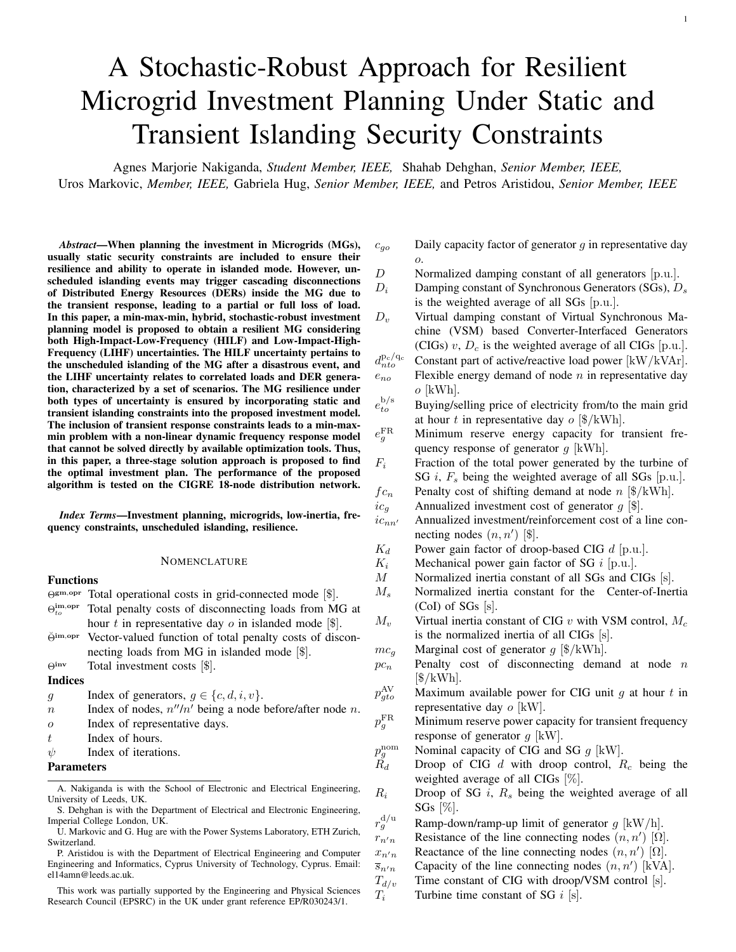TABLE III LOAD PARAMETERS (F: FLEXIBLE, C: CONSTANT)

| Node               |      |      |      | 16   |      |      |
|--------------------|------|------|------|------|------|------|
| Type               | F    |      |      |      |      |      |
| Nominal Load [kVA] | 200  |      | 52   | 210  | 35   |      |
| Power factor       | 0.95 | 0.95 | 0.95 | 0.85 | 0.95 | 0.95 |
| .<br>----          |      |      |      |      |      |      |

High priority load Low priority load

TABLE IV COST COMPARISON WITH VARIATION IN MAIN GRID CAPACITY FOR CASE 1: MG PLANNING WITHOUT ISLANDING CONSTRAINTS

| Main grid<br>capacity (kW) | Investment costs<br>& decisions $(\$)$ | Operational<br>$costs($ \$) | Total<br>$costs($ \$) | Installed<br>capacity (kW) |
|----------------------------|----------------------------------------|-----------------------------|-----------------------|----------------------------|
| Unlimited                  |                                        | 56394                       | 56394                 | 280                        |
| 250                        |                                        | 77795                       | 77795                 | 280                        |
| 150                        | 60 000 $(PV_3)$                        | 47473                       | 107473                | 630                        |

four representative days and scenarios illustrated by the profiles in Appendix A (Fig. 9). Understandably, the MG mainly relies on more affordable power provided by the main grid instead of dispatching  $SG<sub>1</sub>$  installed at PCC. Under the unlimited import capacity from the main grid, investments in local generation are not economical due to the low cost of imported power. However, with the introduction of grid capacity limits (e.g., in instances of net load growth and faults experienced in the network), the operational costs increase as a result of the MG relying on the more expensive  $SG<sub>1</sub>$  at PCC. Further reduction of grid capacity finally leads to the installment of  $PV<sub>3</sub>$ , as it yields higher investment but lower operational costs compared to  $SG<sub>2</sub>$ and thus significantly reduces the overall operational costs.

The variation between investment and operational costs for Cases 2 and 3 is provided in Table V, where the optimal solution at iteration  $\psi = 1$  corresponds to the optimal costs of Case 2. Note that the problem in Cases 2 and 3 is solved considering unlimited power import from the main grid. The MG requires higher reliability in Case 2 compared to Case 1 in order to minimize the loss of load under static security constraints, whereas in Case 3 the survivability and resilience of the MG are also considered by including the transient security constraints. To ensure the MG resilience, higher investment and operational costs are enforced in both of these case studies compared to Case 1 due to inclusion of static and transient islanding constraints. Indeed, a  $400\%$  cost increase for Case 2 is observed, with a further  $10\%$  increase for Case 3. In both of these cases, the installation of renewable DERs reduces the total costs despite the significantly higher underlying investment costs. More precisely, renewable DERs contribute to increased line flows and power export to the main grid, thus necessitating a greater network capacity indicated by the upgrade of the lines between nodes (1-2) and (2-3). However, in turn, the MG adequacy improves with installing renewable DERs, reflected in the reduction of lost load and ensuring that critical loads are supplied even during emergency islanding situations.

Focusing on Case 3, it is noticeable that operational costs increase at each iteration due to the use of expensive SGs and flexible loads to mitigate the feasibility violation. Nevertheless, when operational flexibility alone cannot guarantee security, more units are installed. Finally, it can be seen that tightening of



Fig. 3. Total costs for deterministic and stochastic models in Cases 1, 2 and 3.



Fig. 4. System performance in terms of the transient frequency metrics for different iterations of the proposed algorithm including four representative days.

the power exchange limits (and thus the power export) with the main grid alleviates some of the necessary network investments (e.g., line (3-11) for iterations 1 and 2). Thus, the MG planner can be made aware of the enforced additional cost to ensure the resilience of the system through including transient security constraints in Case 3 as compared to Case 2.

In Fig. 3, a comparison of the total design costs considering either a deterministic/stochastic (Case 1) or deterministic/stochastic-robust (Case 2 & 3) model in all three cases is presented. Note that the deterministic model in Cases 1, 2, and 3 considers only one representative day (i.e., the average daily load and power generation patterns). As noticeable in Fig. 3, a deterministic model provides a rather optimistic solution that can lead to system vulnerabilities for both static and transient security. This risk is shown to grow with the inclusion of transient security (Case 3). Hence, increasing the number of scenarios provides a more accurate system representation, which ensures a more robust design. This is further analyzed in Section IV-D1.

## *C. Transient Security Analysis*

In Case 3, the MG survivability is ensured by meeting the prescribed transient security criteria. In the second stage of the algorithm (see Fig. 1), the slack variable  $\Delta p_{to}^{b/s}$  is used to indicate the amount of adjustment needed in the scheduled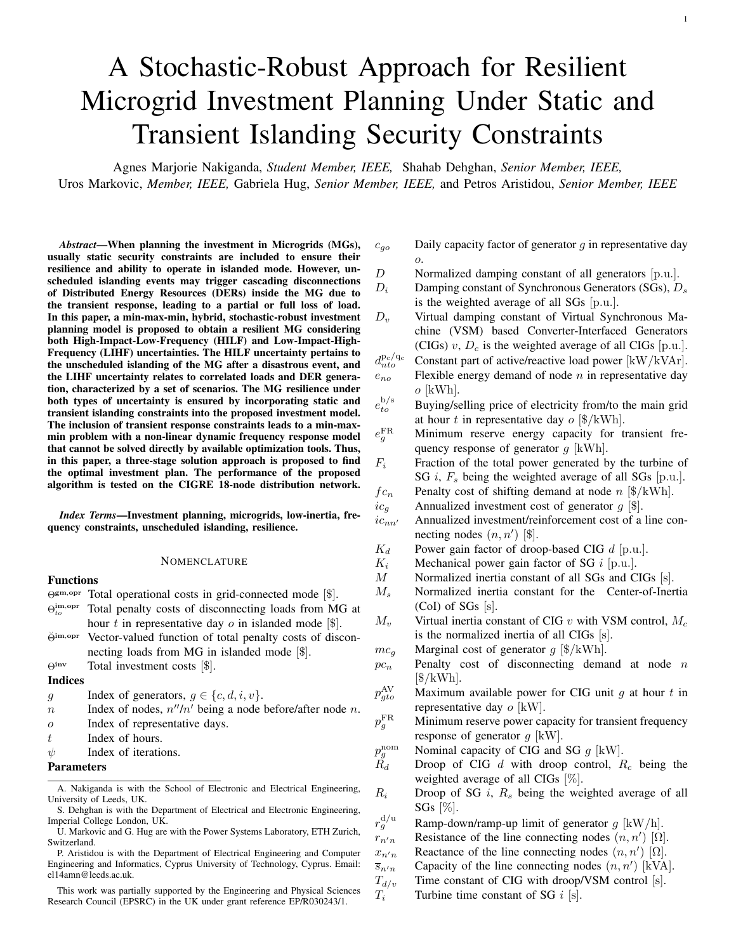TABLE V PLANNING COSTS FOR CASE 2 (FINAL COST IN BLUE) AND CASE 3 (FINAL COST IN GREEN) AND AGGREGATED CORRECTIVE POWER DEVIATIONS INCLUDING FOUR REPRESENTATIVE DAYS.

|                             | Investment costs<br>& decisions $(\$)$                             | Operational<br>$costs($ \$) | Demand<br>shift<br>penalty $(\$)$ | Demand<br>disconnection<br>penalty $(\$)$ | Total<br>$costs($ \$) | Import power<br>deviation<br>(kW) | Export power<br>deviation<br>(kW) |
|-----------------------------|--------------------------------------------------------------------|-----------------------------|-----------------------------------|-------------------------------------------|-----------------------|-----------------------------------|-----------------------------------|
|                             | 128 000 (PV <sub>2</sub> , PV <sub>3</sub> + Lines 1-2, 2-3, 3-11) | 96956                       | 3613                              | 5548                                      | 224956                | 2902                              | 1431                              |
| $\mathcal{D}_{\mathcal{L}}$ | 127 000 (PV <sub>2</sub> , PV <sub>3</sub> + Lines 1-2, 2-3)       | 113872                      | 8543                              | 5337                                      | 240872                | 871                               | 429                               |
| $\mathcal{L}$               | 127 000 ( $PV_2$ , $PV_3$ + Lines 1-2, 2-3)                        | 118924                      | 8796                              | 5081                                      | 245924                | 261                               | 129                               |
| $\overline{4}$              | 127 000 ( $PV_2$ , $PV_3$ + Lines 1-2, 2-3)                        | 120423                      | 8.572                             | 5334                                      | 247423                | 78                                | 39                                |
|                             | 127 000 ( $PV_2$ , $PV_3$ + Lines 1-2, 2-3)                        | 120890                      | 8805                              | 5081                                      | 247890                | 23                                | 12                                |



Fig. 5. MG CoI frequency response after an abrupt islanding event at hour = 20 for each of the three cases studied.

power exchange with the main grid to satisfy the transient frequency requirements. Fig. 4 showcases the metrics describing the dynamic performance of the MG's CoI after islanding at each hour. The first iteration corresponds to the system response without transient security requirements (Case 2).

A significant improvement is recorded in the maximum Ro-CoF values, even within a single iteration (e.g., reduction from  $8 \text{ Hz/s}$  to  $3.5 \text{ Hz/s}$  after the first iteration). Furthermore, each successive iteration reduces the power exchange with the main grid during the hours when security limits are violated until all limits are satisfied. The amount of aggregated corrective power deviations (  $\int_{b \in \Omega}$   $\int_{t \in \Omega}$   $\int_{t \in \Omega}$   $\int_{t \in \Omega}$   $\int_{t \in \Omega}$  in Table V is monotonically decreased with each iteration until the transient security constraints are fulfilled. However, these improvements in terms of security and resilience are achieved at the expense of higher operational costs by dispatching costly SG and flexible loads.

It is clear from Fig. 4 that the RoCoF threshold is the most limiting factor for secure transient operation. This is expected, since PV-based CIGs yield a more economic solution but do not provide the same level of inertia as SGs, thus degrading the transient performance. In particular,  $SG_1$  and  $PV_1$  provide both inertia and damping,  $PV_2$  improves damping through droop control, and  $PV<sub>3</sub>$  offers no frequency support. Since the inertia and damping contribution of  $SG<sub>1</sub>$  and  $PV<sub>2</sub>$  do not lead to sufficient transient performance, the reduction in the power exchange with the main grid is needed to ensure a satisfactory response. This is achieved through power provision from  $PV<sub>2</sub>$ and  $PV<sub>3</sub>$  as well as higher activation of flexible loads.

The analytical result in Fig. 4 is validated through a timedomain simulation of the MG. In the time-domain simulation, the



Fig. 6. Total costs for different representative days in Cases 2 and 3.

CIGs are modeled as detailed in [35] while the SGs are modeled by a  $6<sup>th</sup>$ -order model equipped with a reheat turbine speed governor [46] and an IEEE ACIA exciter [47]. The dynamic simulations were performed with PyRAMSES [48] software. The disconnection from the grid occurs at time  $= 1$  s. As indicated in Fig. 5, neither Case 1 nor Case 2 ensures a secure transition to islanded state given an abrupt islanding event. However, the solution of Case 3 ensures the transient security, and thus, survivability of the MG during the transition to the islanded mode, as shown in Fig. 5.

# *D. Sensitivity Analysis*

*1) Representative Days:* The stochasticity of both load and generation profiles affects the planning accuracy, usually resulting in under- or overestimation. As previously described in Section IV-A, the load and generation profiles are obtained by utilizing the k-means clustering for different representative days. Understandably, the number of considered representative days has a direct impact on the solution of the algorithm. This can be observed in Fig. 6, where the total investment and operational costs for Cases 2 and 3 increase with the number of representative days. In particular, employing more representative days provides a better representation of system operation, thus allowing for more accurate estimates of different costs. Additionally, an increase in the representative days results in a more robust design as more scenarios for an abrupt islanding event can be taken into account during system design. On the other hand, it also imposes a higher computational burden as this results in a significant increase in the solution space of the problem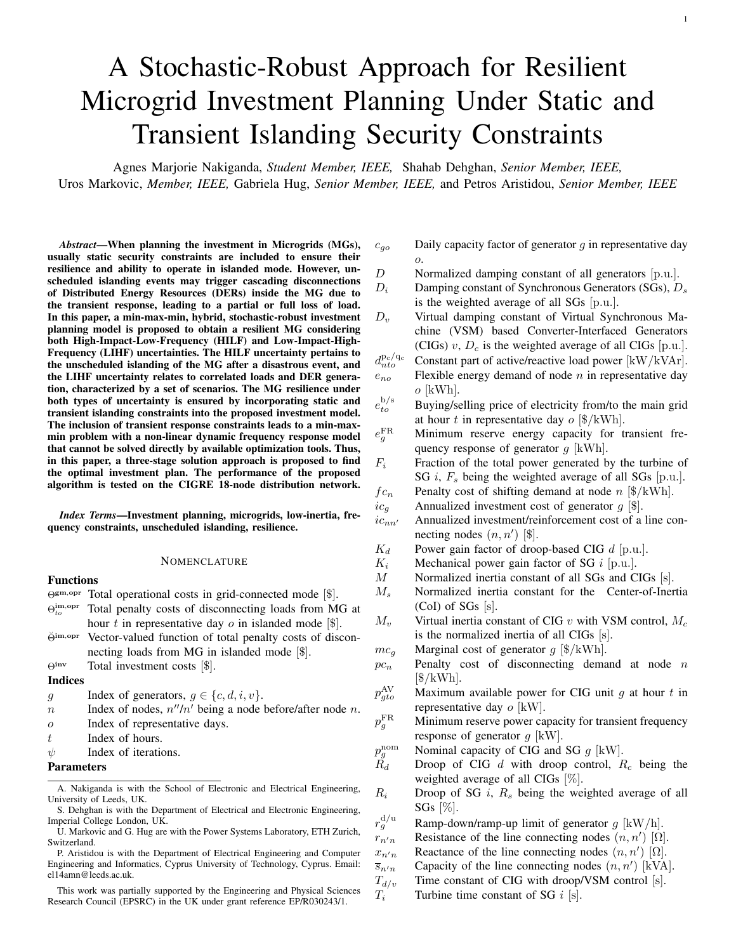TABLE VI

INVESTMENT COSTS AND DECISIONS CONSIDERING CASES 2 AND 3 FOR DIFFERENT REPRESENTATIVE DAYS

| Investment costs (\$) and decisions |                                                                                 |                                                                              |  |  |
|-------------------------------------|---------------------------------------------------------------------------------|------------------------------------------------------------------------------|--|--|
| Representative days                 | Case 2                                                                          | Case 3                                                                       |  |  |
|                                     | 60000 ( $PV_3$ )                                                                | 125000 ( $PV_2$ , $PV_3$ )                                                   |  |  |
| 4                                   | 128000 (PV <sub>2</sub> , PV <sub>3</sub> + Line 1-2, 2-3, 3-11)                | 127000 (PV <sub>2</sub> , PV <sub>3</sub> + Line 1-2, 2-3)                   |  |  |
| 8                                   | 128000 (PV <sub>2</sub> , PV <sub>3</sub> + Line 1-2, 2-3, 3-11)                | 127000 (PV <sub>2</sub> , PV <sub>3</sub> + Line 1-2, 2-3)                   |  |  |
| 16                                  | 128000 (PV <sub>2</sub> , PV <sub>3</sub> + line 1-2, 2-3, 3-11)                | 165000 (PV <sub>2</sub> , PV <sub>3</sub> , SG <sub>2</sub> )                |  |  |
| 32                                  | 128000 (PV <sub>2</sub> , PV <sub>3</sub> + line 1-2, 2-3, 3-11)                | 165000 (PV <sub>2</sub> , PV <sub>3</sub> , SG <sub>2</sub> )                |  |  |
| 64                                  | 130000 (PV <sub>2</sub> , PV <sub>3</sub> + line 1-2, 2-3, 3-4, 4-5, 5-6, 3-11) | 167000 (PV <sub>2</sub> , PV3, SG <sub>2</sub> + line 4-5, 5-6)              |  |  |
| 128                                 | 130000 (PV <sub>2</sub> , PV <sub>3</sub> + line 1-2, 2-3, 3-4, 4-5, 5-6, 3-11) | 167000 (PV <sub>2</sub> , PV <sub>3</sub> , SG <sub>2</sub> + line 4-5, 5-6) |  |  |



Fig. 7. Sensitivity of investment and operational costs to the presence of flexible loads for different representative days in Case 3.

leading to the intractability of the optimization problem as further clarified in Section IV-F. In particular, the results in Fig. 6 indicate that the overall costs plateau for excessive number of representative days, suggesting that the case studies considering up to 16 representative provide a good trade-off between the accuracy of cost estimates and the needed computational effort. Furthermore, Table VI provides the investment decisions for Cases 2 and 3. The additional units for the result of 16 and more representative days in Case 3, a consequence of the better representation of the operation scenarios further ensures that a more robust transient security solution is obtained.

*2) Operational Flexibility:* While flexible loads provide more degrees of freedom for operational planning, they are costly. In spite of their high operational costs, in this study they provide a more affordable option compared to investments in additional generators for improving system flexibility by reducing the peak power exchange with the main grid. Indeed, Table V shows a successive increase in the use of flexible loads for improving the transient frequency response. This is justified by the fact that flexible loads provide a peak shaving service vital for ensuring survivability during transients.

To this end, Case 3 was studied with and without flexible loads to thoroughly analyze their impact. In the case of 1 and 16 representative days, the operational costs experience a marginal decrease under the use of flexible loads, whereas the investment costs remain intact, as depicted in Fig. 7. In contrast, for other representative periods the use of flexible loads leads to lower investment costs, as they alleviate the problems pertaining to adequate power supply. Moreover, in all four cases the total costs increase without the use of flexible loads, thus making their adoption vital for system flexibility and economic operation. The latter aspect is primarily related to the presence of renewable PV units, which allow for the loads to be shifted to periods of higher solar generation. Note that the difference is more prominent in

TABLE VII COMPARISON BETWEEN OUT-OF-SAMPLE AND IN-SAMPLE TOTAL OPERATIONAL COSTS AND DESIGN FEASIBILITY

|        | Operational<br>costs | Demand shift<br>penalty | Demand disconnection<br>penalty | Transient<br>feasibility |
|--------|----------------------|-------------------------|---------------------------------|--------------------------|
| Case 2 | $97\%$ "             | $0.0\%$                 | $0.0\%$                         | 78.6%                    |
| Case 3 | $7.3\% \#$           | $5.4\% \#$              | $0.0\%$                         | 100%                     |

cases with 4 and 8 representative days since the use of flexible loads allows to differ investment decisions.

## *E. Out-of-sample Performance*

To evaluate the performance of the system design and its feasibility against different realizations of uncertain parameters, we adopted the full pattern of realistic 365 days as out-of-sample scenarios for load and PV generation. Table VII presents a comparison between total operational costs of in-sample and outof-sample scenarios. It is noteworthy to mention that in-sample scenarios are used within the proposed investment planning tool to obtain the optimal MG design, while the out-of-sample scenarios are used to evaluate the long-term performance of the optimal design under different realizations of uncertain loads and PV generations. Understandably, there is a slight increment in the total operational cost in Case 2 with only static security constraints. In other words, the stochastic approach may not be able to cover the entire spectrum of potential scenarios that may occur in system operation. However, the total costs with the inclusion of transient security constraints show a decrease indicating that the design remains robust to all different potential islanding scenarios in the year. Furthermore, Table VII shows the transient feasibility percentage for the optimal solutions in Case 2 and Case 3. According to Table VII, the optimal MG design in Case 2 is not feasible in 21.4% of the out-of-sample scenarios. However, the optimal design remains 100.0% feasible when considering either only static security or both static and transient security for MG design in Case 3. 0

#### *F. Computational Effort and Scalability*

All case studies have been performed on a laptop with an Intel Core i5 processor at 1.8GHz with 8GB memory. The three stages of the proposed algorithm are solved as: Stage 1 - stochasticrobust MILP; Stage 2 - deterministic Linear Programming (LP); and Stage 3 - analytical problem. For Stages 2 and 3, the computing time is less than 1.5 s on average to obtain the solution of each individual hour. However, in Stage 1, the solution space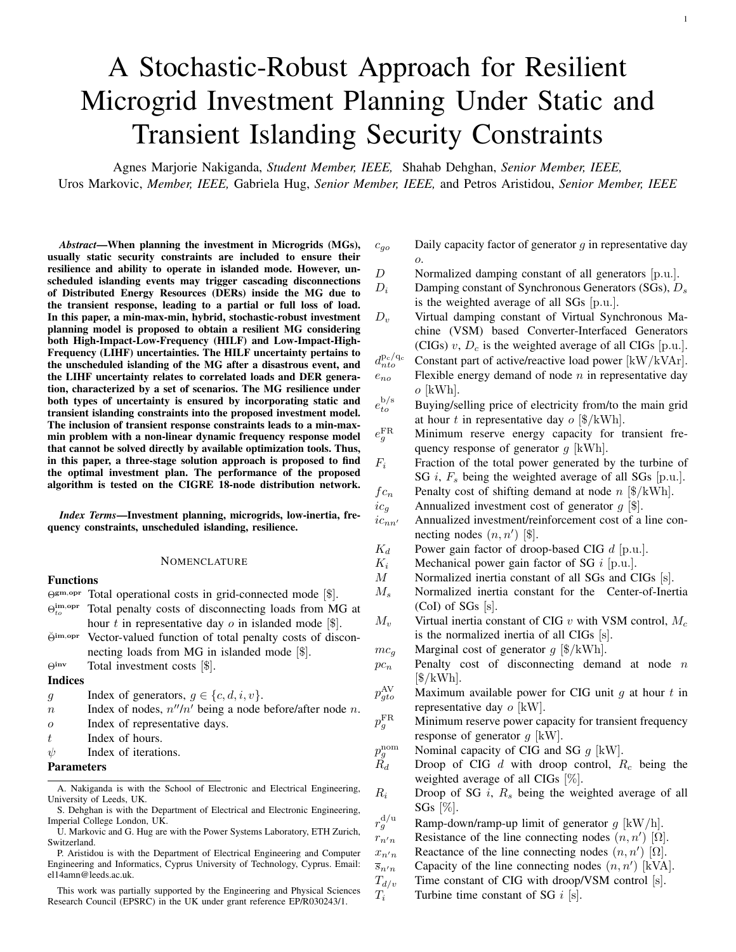TABLE VIII COMPUTATION TIME FOR DIFFERENT REPRESENTATIVE DAYS

|                            | Computation time [s] |              |              |  |
|----------------------------|----------------------|--------------|--------------|--|
| No. of representative days | <b>GUROBI</b>        | <b>CPLEX</b> | <b>MOSEK</b> |  |
|                            | 25                   | 26           | 28           |  |
|                            | 63                   | 108          | 274          |  |
|                            | 156                  | 230          | 689          |  |
| 16                         | 354                  | 465          | 2254         |  |
| 64                         | 2787                 | 6027         | 189658       |  |

of the problem is a function of the number of scenarios, i.e., number of representative days. In Table. VIII, a comparison of the computational time for different numbers of representative days and different state-of-the-art optimization tools is presented. An increase in the number of representative days leads to a larger solution space with more decision variables, and consequently, a higher computational time. By adopting a suitable solver, the computational time can be optimized. In Table. VIII GUROBI solver indicates the fastest response. Nonetheless, the exponential growth in solution time and increase in the solution space with the number of representative days can further increase the risk of intractability. Therefore, it is vital to compromise between accuracy and tractability of the proposed planning tool by choosing a sufficient number of representative days. In the same regard, a single-year planning model was utilized as opposed to a multi-year model. While the latter provides a higher accuracy, the number of variables and constraints increase significantly resulting in a higher risk of intractability.

## V. CONCLUSION

MGs are expected to play a significant role in increasing the resilience of electric power systems. Their ability to operate in both grid-connected and islanded mode is paramount to their capacity to enhance system reliability. In this paper, the MG investment planning problem under both static and transient islanding constraints is investigated. By explicitly embedding the islanding constraints in the planning problem, the survivability of the system can be guaranteed and the resilience can be assessed as a function of the load supplied in islanded conditions. However, after the islanding event, the transient behavior of the MG is dictated both by the non-linear dynamics and the investment and operation decisions, which poses many challenges concerning the problem formulation. We tackle this problem by proposing an iterative three-stage algorithm that resolves the underlying tractability issues and computational challenges, as well as shows excellent performance on the examined case studies.

Nevertheless, several additional aspects still need to be investigated in ongoing and future work. For instance, the impact of information exchange between different layers of the algorithm on the solution optimality and rate of convergence need to be assessed. Furthermore, a trade-off between the accuracy of the transient response model of the MG and the model complexity should be considered. It is clear though that the need to consider system dynamics within the MG investment and operational decisions is crucial for ensuring system resilience.

# APPENDIX A FORMULATION OF THE FREQUENCY METRICS



Fig. 8. Uniform system frequency dynamics model [23]

The detailed description of the frequency dynamics model adopted in this paper can be found in [31]. Here, a brief description on the formulation of the analytical model of the frequency metrics is presented.

The analytical model of the frequency metrics can be derived from the system frequency dynamic model illustrated in Fig. 8, for a system consisting of both CIGs and SGs. The transfer function  $G(s)$  derived from Fig. 8 is given in (3). Based on the modeling assumptions defined in Section II-B, the transfer function is recast into (4), where the respective normalized parameters are defined as follows:

$$
M_s = \frac{\times}{\sum_{i \in \Omega^S} M_i \frac{P_i}{P_{b_s}}}, \qquad D_s = \frac{\times}{\sum_{i \in \Omega^S} D_i \frac{P_i}{P_{b_s}}}, \qquad (11a)
$$

$$
R_s = \frac{\overline{\times}}{i \epsilon \Omega^s} \frac{K_i}{R_i} \frac{P_i}{P_{b_s}}, \qquad \qquad F_s = \frac{\overline{\times}}{i \epsilon \Omega^s} \frac{K_i F_i}{R_i} \frac{P_i}{P_{b_s}}, \qquad (11b)
$$

$$
M_c = \frac{\chi}{w_c \Omega_c^C} M_v \frac{P_{c_v}}{P_{b_c}}, \qquad D_c = \frac{\chi}{w_c \Omega_c^C} D_v \frac{P_{c_v}}{P_{b_c}}, \qquad (11c)
$$

$$
R_c = \frac{\chi}{\chi} R_d \frac{P_{c_d}}{P_{b_c}}, \qquad M = \frac{M_s P_{b_s} + M_c P_{b_c}}{P_{b_g} + P_{b_c}}, \qquad (11d)
$$

$$
D = \frac{D_s P_{b_s} + D_c P_{b_c} + R_c P_{b_c}}{P_{b_s} + P_{b_c}}.
$$
 (11e)

Parameter  $P_i$  and  $P_c$  denotes the active power capacity of the SG and CIG, respectively, scaled over their respective sums of active power capacity of all connected SGs and CIGs,  $P_{b_s}$  and  $P_{b_c}$ . Note that the energy reserve capability for inertia and primary frequency response of CIG units is defined as function of the DC-side capacitor storage unit connected to the generator in this work. Therefore, the contribution of each CIG to the  $M$  and  $D$